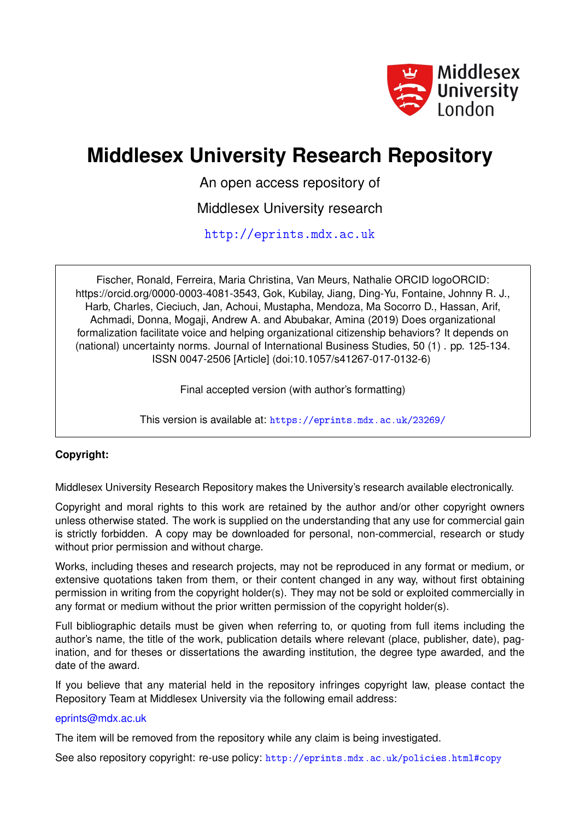

# **Middlesex University Research Repository**

An open access repository of

Middlesex University research

<http://eprints.mdx.ac.uk>

Fischer, Ronald, Ferreira, Maria Christina, Van Meurs, Nathalie ORCID logoORCID: https://orcid.org/0000-0003-4081-3543, Gok, Kubilay, Jiang, Ding-Yu, Fontaine, Johnny R. J., Harb, Charles, Cieciuch, Jan, Achoui, Mustapha, Mendoza, Ma Socorro D., Hassan, Arif, Achmadi, Donna, Mogaji, Andrew A. and Abubakar, Amina (2019) Does organizational formalization facilitate voice and helping organizational citizenship behaviors? It depends on (national) uncertainty norms. Journal of International Business Studies, 50 (1) . pp. 125-134. ISSN 0047-2506 [Article] (doi:10.1057/s41267-017-0132-6)

Final accepted version (with author's formatting)

This version is available at: <https://eprints.mdx.ac.uk/23269/>

# **Copyright:**

Middlesex University Research Repository makes the University's research available electronically.

Copyright and moral rights to this work are retained by the author and/or other copyright owners unless otherwise stated. The work is supplied on the understanding that any use for commercial gain is strictly forbidden. A copy may be downloaded for personal, non-commercial, research or study without prior permission and without charge.

Works, including theses and research projects, may not be reproduced in any format or medium, or extensive quotations taken from them, or their content changed in any way, without first obtaining permission in writing from the copyright holder(s). They may not be sold or exploited commercially in any format or medium without the prior written permission of the copyright holder(s).

Full bibliographic details must be given when referring to, or quoting from full items including the author's name, the title of the work, publication details where relevant (place, publisher, date), pagination, and for theses or dissertations the awarding institution, the degree type awarded, and the date of the award.

If you believe that any material held in the repository infringes copyright law, please contact the Repository Team at Middlesex University via the following email address:

# [eprints@mdx.ac.uk](mailto:eprints@mdx.ac.uk)

The item will be removed from the repository while any claim is being investigated.

See also repository copyright: re-use policy: <http://eprints.mdx.ac.uk/policies.html#copy>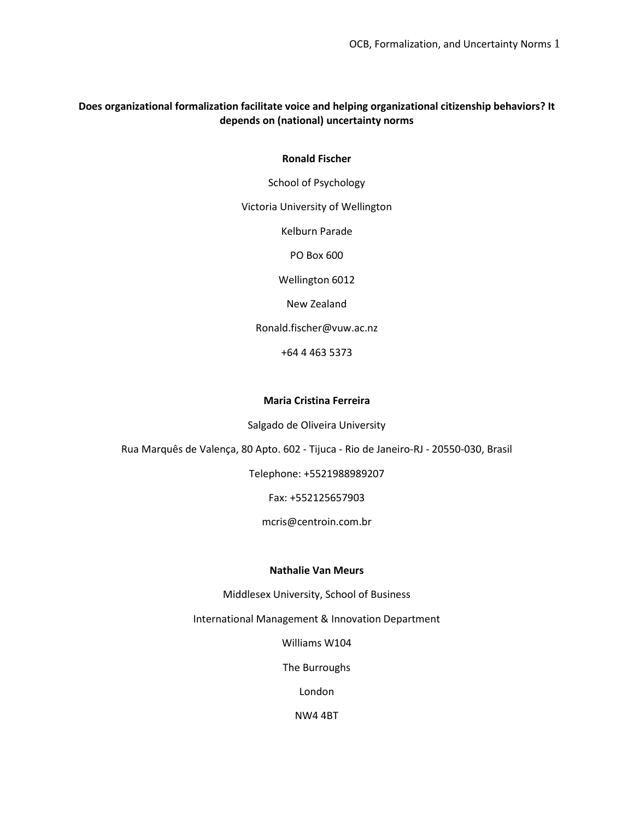# **Does organizational formalization facilitate voice and helping organizational citizenship behaviors? It depends on (national) uncertainty norms**

#### **Ronald Fischer**

School of Psychology

Victoria University of Wellington

Kelburn Parade

PO Box 600

Wellington 6012

New Zealand

Ronald.fischer@vuw.ac.nz

+64 4 463 5373

#### **Maria Cristina Ferreira**

#### Salgado de Oliveira University

Rua Marquês de Valença, 80 Apto. 602 - Tijuca - Rio de Janeiro-RJ - 20550-030, Brasil

Telephone: +5521988989207

Fax: +552125657903

mcris@centroin.com.br

#### **Nathalie Van Meurs**

Middlesex University, School of Business

International Management & Innovation Department

Williams W104

The Burroughs

London

NW4 4BT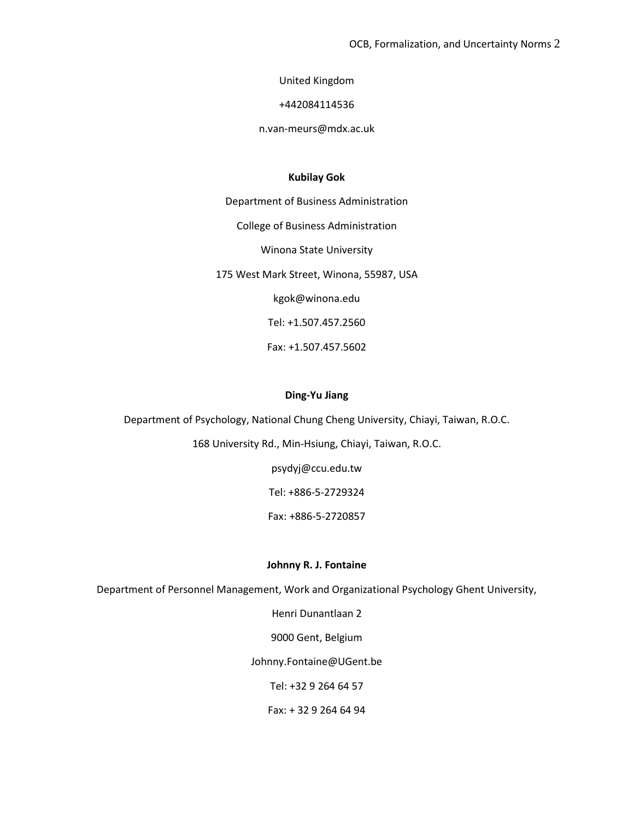United Kingdom

+442084114536

n.van-meurs@mdx.ac.uk

#### **Kubilay Gok**

Department of Business Administration

College of Business Administration

Winona State University

175 West Mark Street, Winona, 55987, USA

kgok@winona.edu

Tel: +1.507.457.2560

Fax: +1.507.457.5602

# **Ding-Yu Jiang**

Department of Psychology, National Chung Cheng University, Chiayi, Taiwan, R.O.C.

168 University Rd., Min-Hsiung, Chiayi, Taiwan, R.O.C.

psydyj@ccu.edu.tw

Tel: +886-5-2729324

Fax: +886-5-2720857

# **Johnny R. J. Fontaine**

Department of Personnel Management, Work and Organizational Psychology Ghent University,

Henri Dunantlaan 2 9000 Gent, Belgium Johnny.Fontaine@UGent.be Tel: +32 9 264 64 57

Fax: + 32 9 264 64 94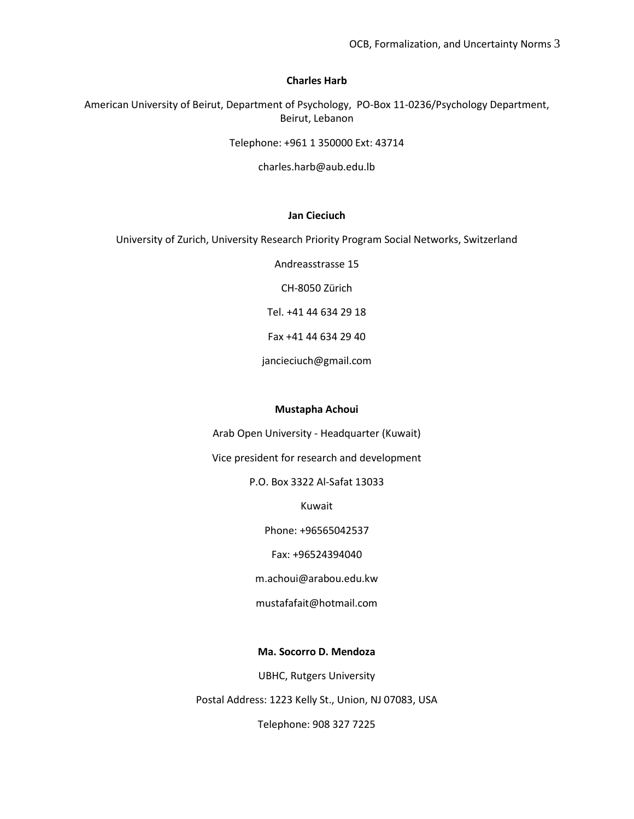### **Charles Harb**

American University of Beirut, Department of Psychology, PO-Box 11-0236/Psychology Department, Beirut, Lebanon

Telephone: +961 1 350000 Ext: 43714

charles.harb@aub.edu.lb

#### **Jan Cieciuch**

University of Zurich, University Research Priority Program Social Networks, Switzerland

Andreasstrasse 15

CH-8050 Zürich

Tel. +41 44 634 29 18

Fax +41 44 634 29 40

jancieciuch@gmail.com

#### **Mustapha Achoui**

Arab Open University - Headquarter (Kuwait)

Vice president for research and development

P.O. Box 3322 Al-Safat 13033

Kuwait

Phone: +96565042537

Fax: +96524394040

m.achoui@arabou.edu.kw

mustafafait@hotmail.com

**Ma. Socorro D. Mendoza**

UBHC, Rutgers University

Postal Address: 1223 Kelly St., Union, NJ 07083, USA

Telephone: 908 327 7225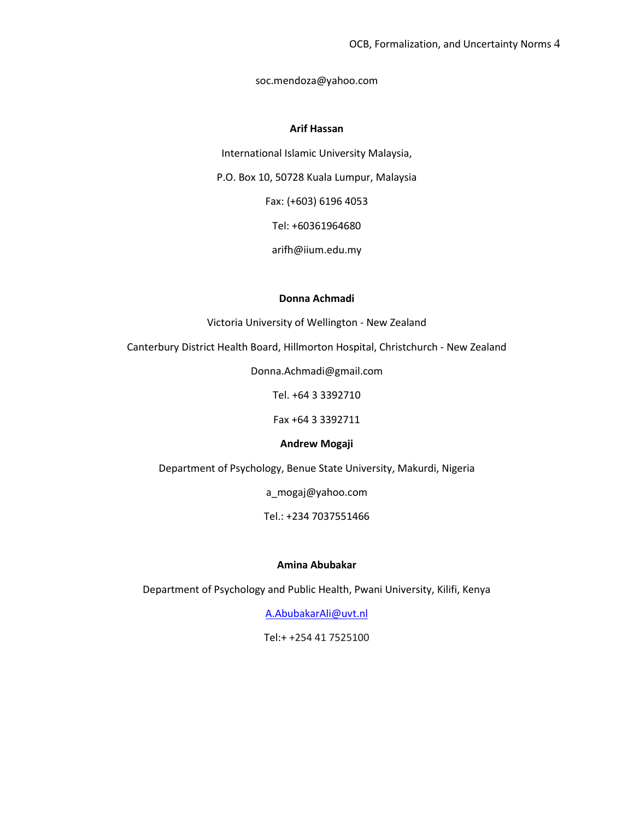soc.mendoza@yahoo.com

#### **Arif Hassan**

International Islamic University Malaysia,

P.O. Box 10, 50728 Kuala Lumpur, Malaysia

Fax: (+603) 6196 4053

Tel: +60361964680

arifh@iium.edu.my

### **Donna Achmadi**

Victoria University of Wellington - New Zealand

Canterbury District Health Board, Hillmorton Hospital, Christchurch - New Zealand

Donna.Achmadi@gmail.com

Tel. +64 3 3392710

Fax +64 3 3392711

# **Andrew Mogaji**

Department of Psychology, Benue State University, Makurdi, Nigeria

a\_mogaj@yahoo.com

Tel.: +234 7037551466

# **Amina Abubakar**

Department of Psychology and Public Health, Pwani University, Kilifi, Kenya

[A.AbubakarAli@uvt.nl](mailto:A.AbubakarAli@uvt.nl)

Tel:+ +254 41 7525100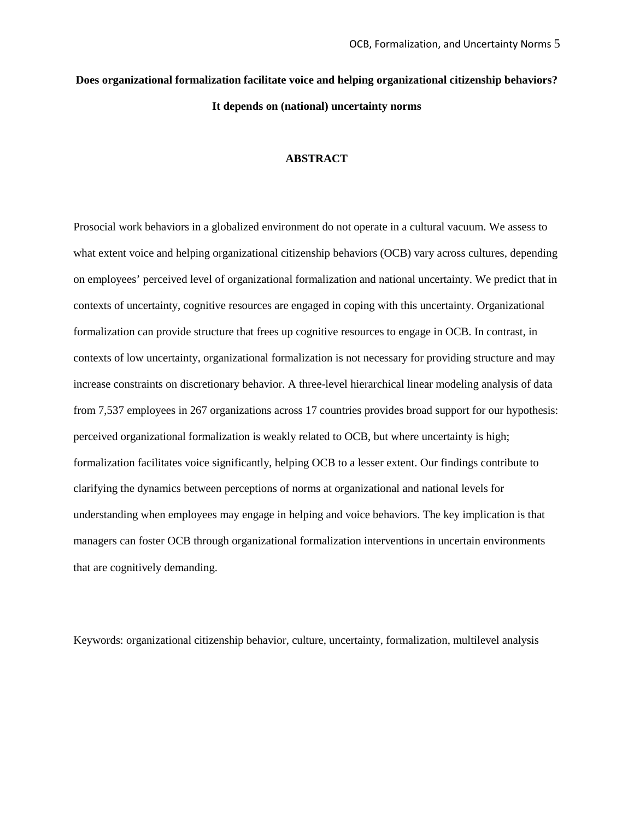# **Does organizational formalization facilitate voice and helping organizational citizenship behaviors? It depends on (national) uncertainty norms**

#### **ABSTRACT**

Prosocial work behaviors in a globalized environment do not operate in a cultural vacuum. We assess to what extent voice and helping organizational citizenship behaviors (OCB) vary across cultures, depending on employees' perceived level of organizational formalization and national uncertainty. We predict that in contexts of uncertainty, cognitive resources are engaged in coping with this uncertainty. Organizational formalization can provide structure that frees up cognitive resources to engage in OCB. In contrast, in contexts of low uncertainty, organizational formalization is not necessary for providing structure and may increase constraints on discretionary behavior. A three-level hierarchical linear modeling analysis of data from 7,537 employees in 267 organizations across 17 countries provides broad support for our hypothesis: perceived organizational formalization is weakly related to OCB, but where uncertainty is high; formalization facilitates voice significantly, helping OCB to a lesser extent. Our findings contribute to clarifying the dynamics between perceptions of norms at organizational and national levels for understanding when employees may engage in helping and voice behaviors. The key implication is that managers can foster OCB through organizational formalization interventions in uncertain environments that are cognitively demanding.

Keywords: organizational citizenship behavior, culture, uncertainty, formalization, multilevel analysis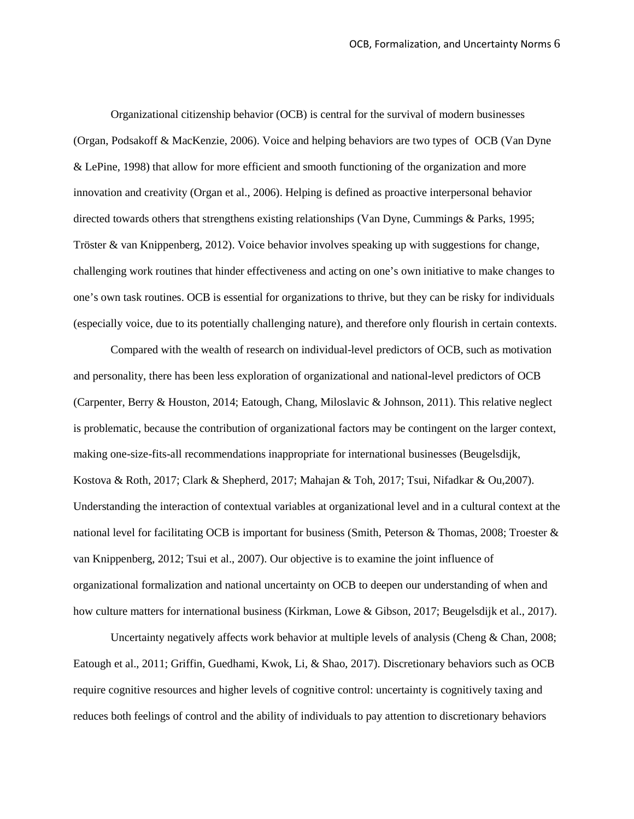Organizational citizenship behavior (OCB) is central for the survival of modern businesses (Organ, Podsakoff & MacKenzie, 2006). Voice and helping behaviors are two types of OCB (Van Dyne & LePine, 1998) that allow for more efficient and smooth functioning of the organization and more innovation and creativity (Organ et al., 2006). Helping is defined as proactive interpersonal behavior directed towards others that strengthens existing relationships (Van Dyne, Cummings & Parks, 1995; Tröster & van Knippenberg, 2012). Voice behavior involves speaking up with suggestions for change, challenging work routines that hinder effectiveness and acting on one's own initiative to make changes to one's own task routines. OCB is essential for organizations to thrive, but they can be risky for individuals (especially voice, due to its potentially challenging nature), and therefore only flourish in certain contexts.

Compared with the wealth of research on individual-level predictors of OCB, such as motivation and personality, there has been less exploration of organizational and national-level predictors of OCB (Carpenter, Berry & Houston, 2014; Eatough, Chang, Miloslavic & Johnson, 2011). This relative neglect is problematic, because the contribution of organizational factors may be contingent on the larger context, making one-size-fits-all recommendations inappropriate for international businesses (Beugelsdijk, Kostova & Roth, 2017; Clark & Shepherd, 2017; Mahajan & Toh, 2017; Tsui, Nifadkar & Ou,2007). Understanding the interaction of contextual variables at organizational level and in a cultural context at the national level for facilitating OCB is important for business (Smith, Peterson & Thomas, 2008; Troester & van Knippenberg, 2012; Tsui et al., 2007). Our objective is to examine the joint influence of organizational formalization and national uncertainty on OCB to deepen our understanding of when and how culture matters for international business (Kirkman, Lowe & Gibson, 2017; Beugelsdijk et al., 2017).

Uncertainty negatively affects work behavior at multiple levels of analysis (Cheng & Chan, 2008; Eatough et al., 2011; Griffin, Guedhami, Kwok, Li, & Shao, 2017). Discretionary behaviors such as OCB require cognitive resources and higher levels of cognitive control: uncertainty is cognitively taxing and reduces both feelings of control and the ability of individuals to pay attention to discretionary behaviors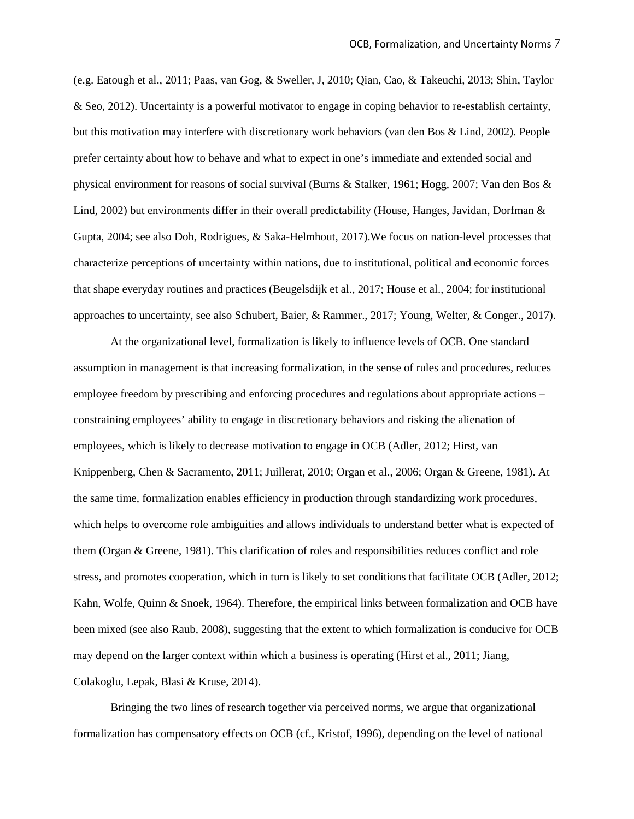(e.g. Eatough et al., 2011; Paas, van Gog, & Sweller, J, 2010; Qian, Cao, & Takeuchi, 2013; Shin, Taylor & Seo, 2012). Uncertainty is a powerful motivator to engage in coping behavior to re-establish certainty, but this motivation may interfere with discretionary work behaviors (van den Bos & Lind, 2002). People prefer certainty about how to behave and what to expect in one's immediate and extended social and physical environment for reasons of social survival (Burns & Stalker, 1961; Hogg, 2007; Van den Bos & Lind, 2002) but environments differ in their overall predictability (House, Hanges, Javidan, Dorfman & Gupta, 2004; see also Doh, Rodrigues, & Saka-Helmhout, 2017).We focus on nation-level processes that characterize perceptions of uncertainty within nations, due to institutional, political and economic forces that shape everyday routines and practices (Beugelsdijk et al., 2017; House et al., 2004; for institutional approaches to uncertainty, see also Schubert, Baier, & Rammer., 2017; Young, Welter, & Conger., 2017).

At the organizational level, formalization is likely to influence levels of OCB. One standard assumption in management is that increasing formalization, in the sense of rules and procedures, reduces employee freedom by prescribing and enforcing procedures and regulations about appropriate actions – constraining employees' ability to engage in discretionary behaviors and risking the alienation of employees, which is likely to decrease motivation to engage in OCB (Adler, 2012; Hirst, van Knippenberg, Chen & Sacramento, 2011; Juillerat, 2010; Organ et al., 2006; Organ & Greene, 1981). At the same time, formalization enables efficiency in production through standardizing work procedures, which helps to overcome role ambiguities and allows individuals to understand better what is expected of them (Organ & Greene, 1981). This clarification of roles and responsibilities reduces conflict and role stress, and promotes cooperation, which in turn is likely to set conditions that facilitate OCB (Adler, 2012; Kahn, Wolfe, Quinn & Snoek, 1964). Therefore, the empirical links between formalization and OCB have been mixed (see also Raub, 2008), suggesting that the extent to which formalization is conducive for OCB may depend on the larger context within which a business is operating (Hirst et al., 2011; Jiang, Colakoglu, Lepak, Blasi & Kruse, 2014).

Bringing the two lines of research together via perceived norms, we argue that organizational formalization has compensatory effects on OCB (cf., Kristof, 1996), depending on the level of national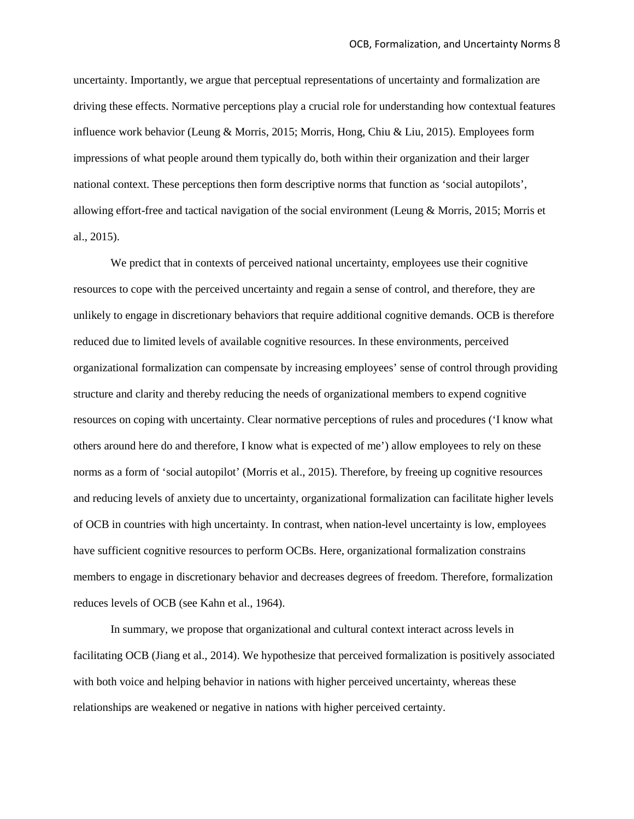uncertainty. Importantly, we argue that perceptual representations of uncertainty and formalization are driving these effects. Normative perceptions play a crucial role for understanding how contextual features influence work behavior (Leung & Morris, 2015; Morris, Hong, Chiu & Liu, 2015). Employees form impressions of what people around them typically do, both within their organization and their larger national context. These perceptions then form descriptive norms that function as 'social autopilots', allowing effort-free and tactical navigation of the social environment (Leung & Morris, 2015; Morris et al., 2015).

We predict that in contexts of perceived national uncertainty, employees use their cognitive resources to cope with the perceived uncertainty and regain a sense of control, and therefore, they are unlikely to engage in discretionary behaviors that require additional cognitive demands. OCB is therefore reduced due to limited levels of available cognitive resources. In these environments, perceived organizational formalization can compensate by increasing employees' sense of control through providing structure and clarity and thereby reducing the needs of organizational members to expend cognitive resources on coping with uncertainty. Clear normative perceptions of rules and procedures ('I know what others around here do and therefore, I know what is expected of me') allow employees to rely on these norms as a form of 'social autopilot' (Morris et al., 2015). Therefore, by freeing up cognitive resources and reducing levels of anxiety due to uncertainty, organizational formalization can facilitate higher levels of OCB in countries with high uncertainty. In contrast, when nation-level uncertainty is low, employees have sufficient cognitive resources to perform OCBs. Here, organizational formalization constrains members to engage in discretionary behavior and decreases degrees of freedom. Therefore, formalization reduces levels of OCB (see Kahn et al., 1964).

In summary, we propose that organizational and cultural context interact across levels in facilitating OCB (Jiang et al., 2014). We hypothesize that perceived formalization is positively associated with both voice and helping behavior in nations with higher perceived uncertainty, whereas these relationships are weakened or negative in nations with higher perceived certainty.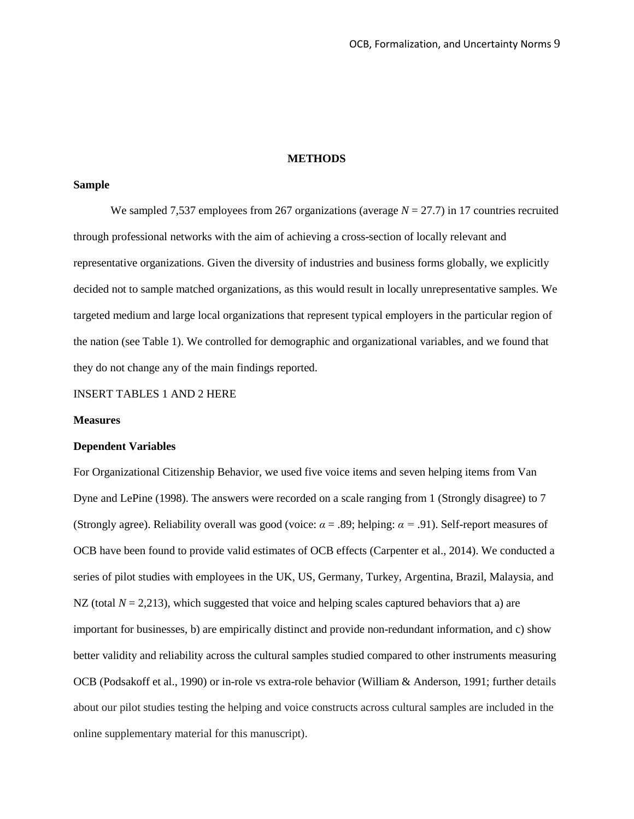#### **METHODS**

#### **Sample**

We sampled 7,537 employees from 267 organizations (average  $N = 27.7$ ) in 17 countries recruited through professional networks with the aim of achieving a cross-section of locally relevant and representative organizations. Given the diversity of industries and business forms globally, we explicitly decided not to sample matched organizations, as this would result in locally unrepresentative samples. We targeted medium and large local organizations that represent typical employers in the particular region of the nation (see Table 1). We controlled for demographic and organizational variables, and we found that they do not change any of the main findings reported.

INSERT TABLES 1 AND 2 HERE

#### **Measures**

#### **Dependent Variables**

For Organizational Citizenship Behavior, we used five voice items and seven helping items from Van Dyne and LePine (1998). The answers were recorded on a scale ranging from 1 (Strongly disagree) to 7 (Strongly agree). Reliability overall was good (voice: *α* = .89; helping: *α =* .91). Self-report measures of OCB have been found to provide valid estimates of OCB effects (Carpenter et al., 2014). We conducted a series of pilot studies with employees in the UK, US, Germany, Turkey, Argentina, Brazil, Malaysia, and NZ (total  $N = 2,213$ ), which suggested that voice and helping scales captured behaviors that a) are important for businesses, b) are empirically distinct and provide non-redundant information, and c) show better validity and reliability across the cultural samples studied compared to other instruments measuring OCB (Podsakoff et al., 1990) or in-role vs extra-role behavior (William & Anderson, 1991; further details about our pilot studies testing the helping and voice constructs across cultural samples are included in the online supplementary material for this manuscript).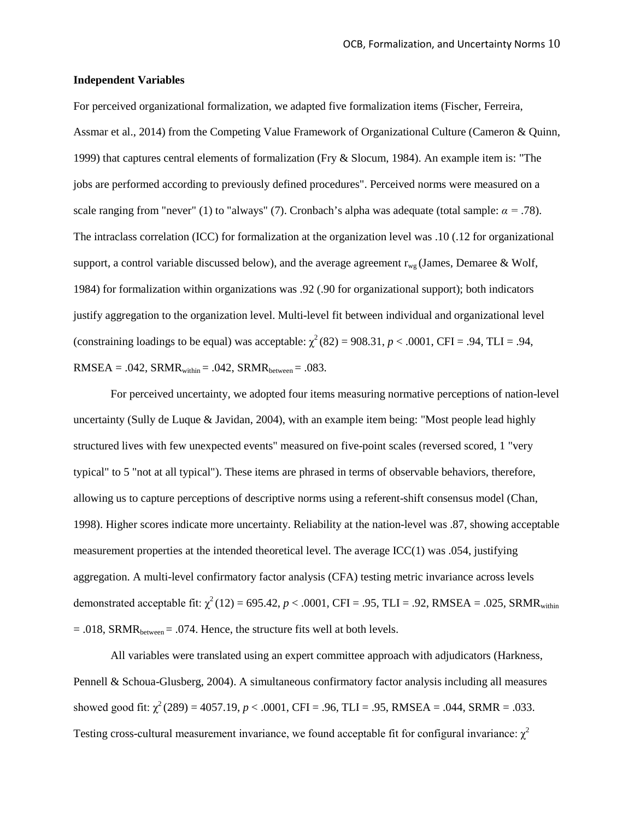#### **Independent Variables**

For perceived organizational formalization, we adapted five formalization items (Fischer, Ferreira, Assmar et al., 2014) from the Competing Value Framework of Organizational Culture (Cameron & Quinn, 1999) that captures central elements of formalization (Fry & Slocum, 1984). An example item is: "The jobs are performed according to previously defined procedures". Perceived norms were measured on a scale ranging from "never" (1) to "always" (7). Cronbach's alpha was adequate (total sample:  $\alpha = .78$ ). The intraclass correlation (ICC) for formalization at the organization level was .10 (.12 for organizational support, a control variable discussed below), and the average agreement  $r_{we}$  (James, Demaree & Wolf, 1984) for formalization within organizations was .92 (.90 for organizational support); both indicators justify aggregation to the organization level. Multi-level fit between individual and organizational level (constraining loadings to be equal) was acceptable:  $\chi^2(82) = 908.31$ ,  $p < .0001$ , CFI = .94, TLI = .94,  $RMSEA = .042$ ,  $SRMR<sub>within</sub> = .042$ ,  $SRMR<sub>between</sub> = .083$ .

For perceived uncertainty, we adopted four items measuring normative perceptions of nation-level uncertainty (Sully de Luque & Javidan, 2004), with an example item being: "Most people lead highly structured lives with few unexpected events" measured on five-point scales (reversed scored, 1 "very typical" to 5 "not at all typical"). These items are phrased in terms of observable behaviors, therefore, allowing us to capture perceptions of descriptive norms using a referent-shift consensus model (Chan, 1998). Higher scores indicate more uncertainty. Reliability at the nation-level was .87, showing acceptable measurement properties at the intended theoretical level. The average ICC(1) was .054, justifying aggregation. A multi-level confirmatory factor analysis (CFA) testing metric invariance across levels demonstrated acceptable fit:  $\chi^2(12) = 695.42$ ,  $p < .0001$ , CFI = .95, TLI = .92, RMSEA = .025, SRMR<sub>within</sub>  $= .018$ , SRMR<sub>between</sub>  $= .074$ . Hence, the structure fits well at both levels.

All variables were translated using an expert committee approach with adjudicators (Harkness, Pennell & Schoua-Glusberg, 2004). A simultaneous confirmatory factor analysis including all measures showed good fit:  $\chi^2$  (289) = 4057.19, *p* < .0001, CFI = .96, TLI = .95, RMSEA = .044, SRMR = .033. Testing cross-cultural measurement invariance, we found acceptable fit for configural invariance:  $\chi^2$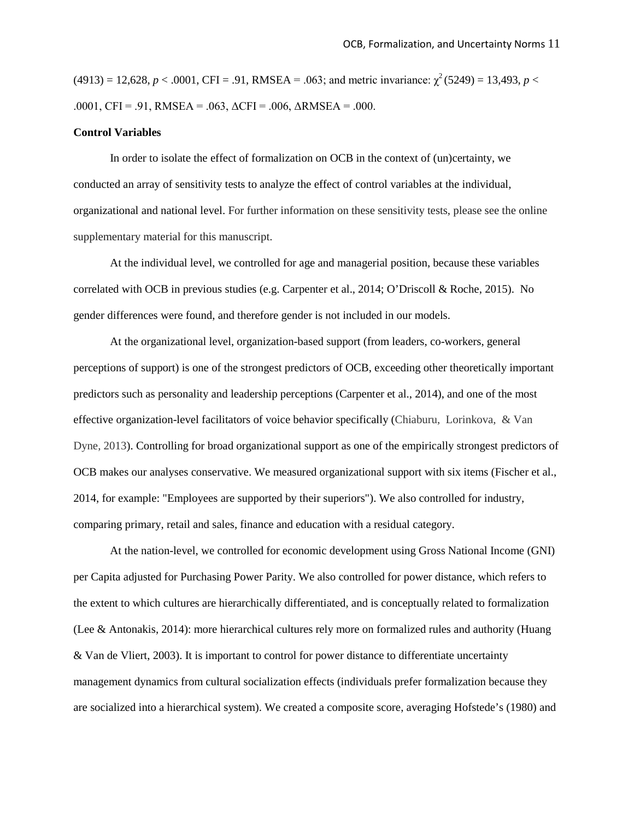$(4913) = 12,628, p < .0001$ , CFI = .91, RMSEA = .063; and metric invariance:  $\chi^2$  (5249) = 13,493, *p* < .0001, CFI = .91, RMSEA = .063,  $\triangle CFI = .006$ ,  $\triangle RMSEA = .000$ .

#### **Control Variables**

In order to isolate the effect of formalization on OCB in the context of (un)certainty, we conducted an array of sensitivity tests to analyze the effect of control variables at the individual, organizational and national level. For further information on these sensitivity tests, please see the online supplementary material for this manuscript.

At the individual level, we controlled for age and managerial position, because these variables correlated with OCB in previous studies (e.g. Carpenter et al., 2014; O'Driscoll & Roche, 2015). No gender differences were found, and therefore gender is not included in our models.

At the organizational level, organization-based support (from leaders, co-workers, general perceptions of support) is one of the strongest predictors of OCB, exceeding other theoretically important predictors such as personality and leadership perceptions (Carpenter et al., 2014), and one of the most effective organization-level facilitators of voice behavior specifically (Chiaburu, Lorinkova, & Van Dyne, 2013). Controlling for broad organizational support as one of the empirically strongest predictors of OCB makes our analyses conservative. We measured organizational support with six items (Fischer et al., 2014, for example: "Employees are supported by their superiors"). We also controlled for industry, comparing primary, retail and sales, finance and education with a residual category.

At the nation-level, we controlled for economic development using Gross National Income (GNI) per Capita adjusted for Purchasing Power Parity. We also controlled for power distance, which refers to the extent to which cultures are hierarchically differentiated, and is conceptually related to formalization (Lee & Antonakis, 2014): more hierarchical cultures rely more on formalized rules and authority (Huang & Van de Vliert, 2003). It is important to control for power distance to differentiate uncertainty management dynamics from cultural socialization effects (individuals prefer formalization because they are socialized into a hierarchical system). We created a composite score, averaging Hofstede's (1980) and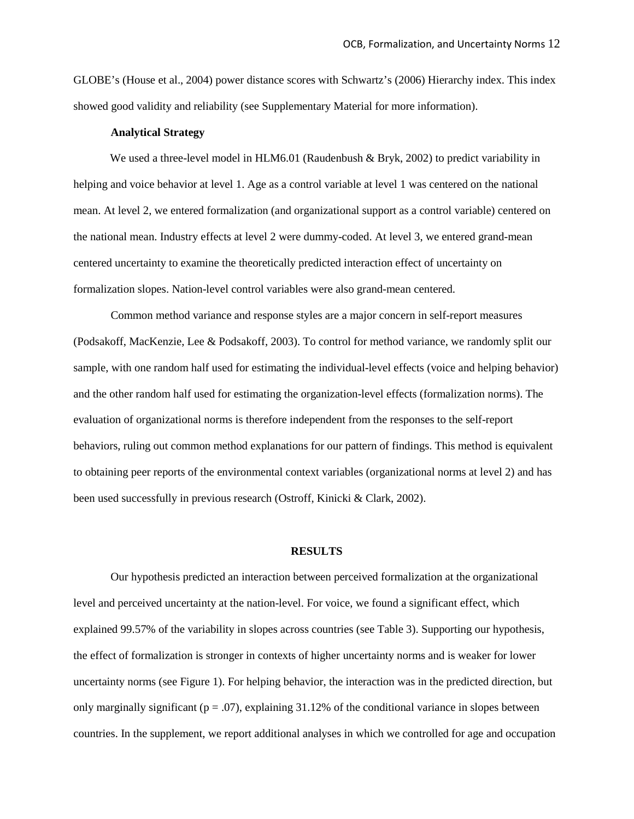GLOBE's (House et al., 2004) power distance scores with Schwartz's (2006) Hierarchy index. This index showed good validity and reliability (see Supplementary Material for more information).

#### **Analytical Strategy**

We used a three-level model in HLM6.01 (Raudenbush & Bryk, 2002) to predict variability in helping and voice behavior at level 1. Age as a control variable at level 1 was centered on the national mean. At level 2, we entered formalization (and organizational support as a control variable) centered on the national mean. Industry effects at level 2 were dummy-coded. At level 3, we entered grand-mean centered uncertainty to examine the theoretically predicted interaction effect of uncertainty on formalization slopes. Nation-level control variables were also grand-mean centered.

Common method variance and response styles are a major concern in self-report measures (Podsakoff, MacKenzie, Lee & Podsakoff, 2003). To control for method variance, we randomly split our sample, with one random half used for estimating the individual-level effects (voice and helping behavior) and the other random half used for estimating the organization-level effects (formalization norms). The evaluation of organizational norms is therefore independent from the responses to the self-report behaviors, ruling out common method explanations for our pattern of findings. This method is equivalent to obtaining peer reports of the environmental context variables (organizational norms at level 2) and has been used successfully in previous research (Ostroff, Kinicki & Clark, 2002).

#### **RESULTS**

Our hypothesis predicted an interaction between perceived formalization at the organizational level and perceived uncertainty at the nation-level. For voice, we found a significant effect, which explained 99.57% of the variability in slopes across countries (see Table 3). Supporting our hypothesis, the effect of formalization is stronger in contexts of higher uncertainty norms and is weaker for lower uncertainty norms (see Figure 1). For helping behavior, the interaction was in the predicted direction, but only marginally significant ( $p = .07$ ), explaining 31.12% of the conditional variance in slopes between countries. In the supplement, we report additional analyses in which we controlled for age and occupation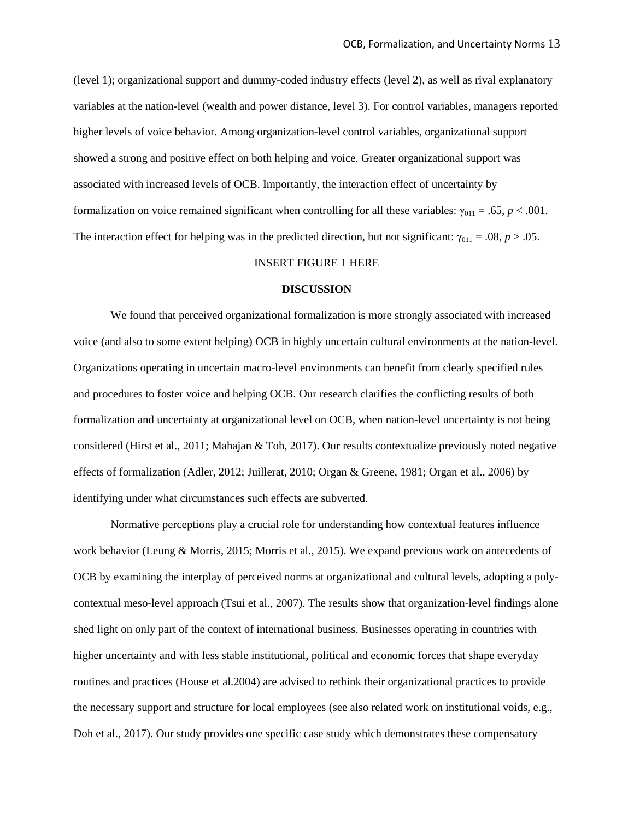(level 1); organizational support and dummy-coded industry effects (level 2), as well as rival explanatory variables at the nation-level (wealth and power distance, level 3). For control variables, managers reported higher levels of voice behavior. Among organization-level control variables, organizational support showed a strong and positive effect on both helping and voice. Greater organizational support was associated with increased levels of OCB. Importantly, the interaction effect of uncertainty by formalization on voice remained significant when controlling for all these variables:  $\gamma_{011} = .65$ ,  $p < .001$ . The interaction effect for helping was in the predicted direction, but not significant:  $\gamma_{011} = .08$ ,  $p > .05$ .

#### INSERT FIGURE 1 HERE

#### **DISCUSSION**

We found that perceived organizational formalization is more strongly associated with increased voice (and also to some extent helping) OCB in highly uncertain cultural environments at the nation-level. Organizations operating in uncertain macro-level environments can benefit from clearly specified rules and procedures to foster voice and helping OCB. Our research clarifies the conflicting results of both formalization and uncertainty at organizational level on OCB, when nation-level uncertainty is not being considered (Hirst et al., 2011; Mahajan & Toh, 2017). Our results contextualize previously noted negative effects of formalization (Adler, 2012; Juillerat, 2010; Organ & Greene, 1981; Organ et al., 2006) by identifying under what circumstances such effects are subverted.

Normative perceptions play a crucial role for understanding how contextual features influence work behavior (Leung & Morris, 2015; Morris et al., 2015). We expand previous work on antecedents of OCB by examining the interplay of perceived norms at organizational and cultural levels, adopting a polycontextual meso-level approach (Tsui et al., 2007). The results show that organization-level findings alone shed light on only part of the context of international business. Businesses operating in countries with higher uncertainty and with less stable institutional, political and economic forces that shape everyday routines and practices (House et al.2004) are advised to rethink their organizational practices to provide the necessary support and structure for local employees (see also related work on institutional voids, e.g., Doh et al., 2017). Our study provides one specific case study which demonstrates these compensatory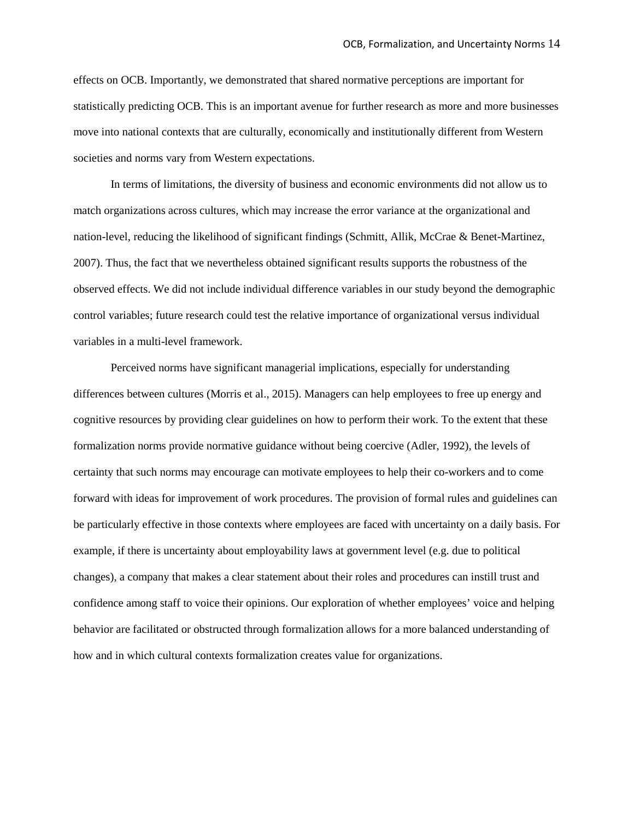effects on OCB. Importantly, we demonstrated that shared normative perceptions are important for statistically predicting OCB. This is an important avenue for further research as more and more businesses move into national contexts that are culturally, economically and institutionally different from Western societies and norms vary from Western expectations.

In terms of limitations, the diversity of business and economic environments did not allow us to match organizations across cultures, which may increase the error variance at the organizational and nation-level, reducing the likelihood of significant findings (Schmitt, Allik, McCrae & Benet-Martinez, 2007). Thus, the fact that we nevertheless obtained significant results supports the robustness of the observed effects. We did not include individual difference variables in our study beyond the demographic control variables; future research could test the relative importance of organizational versus individual variables in a multi-level framework.

Perceived norms have significant managerial implications, especially for understanding differences between cultures (Morris et al., 2015). Managers can help employees to free up energy and cognitive resources by providing clear guidelines on how to perform their work. To the extent that these formalization norms provide normative guidance without being coercive (Adler, 1992), the levels of certainty that such norms may encourage can motivate employees to help their co-workers and to come forward with ideas for improvement of work procedures. The provision of formal rules and guidelines can be particularly effective in those contexts where employees are faced with uncertainty on a daily basis. For example, if there is uncertainty about employability laws at government level (e.g. due to political changes), a company that makes a clear statement about their roles and procedures can instill trust and confidence among staff to voice their opinions. Our exploration of whether employees' voice and helping behavior are facilitated or obstructed through formalization allows for a more balanced understanding of how and in which cultural contexts formalization creates value for organizations.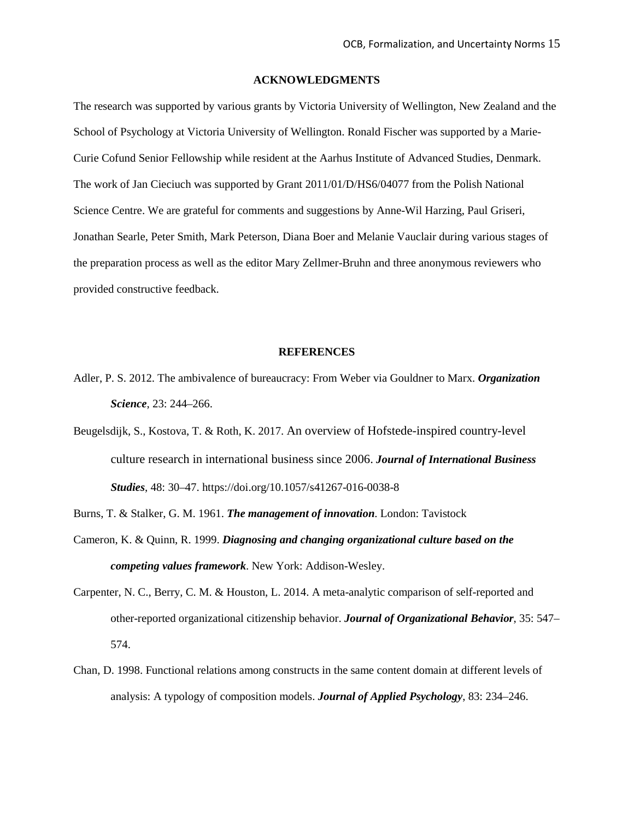#### **ACKNOWLEDGMENTS**

The research was supported by various grants by Victoria University of Wellington, New Zealand and the School of Psychology at Victoria University of Wellington. Ronald Fischer was supported by a Marie-Curie Cofund Senior Fellowship while resident at the Aarhus Institute of Advanced Studies, Denmark. The work of Jan Cieciuch was supported by Grant 2011/01/D/HS6/04077 from the Polish National Science Centre. We are grateful for comments and suggestions by Anne-Wil Harzing, Paul Griseri, Jonathan Searle, Peter Smith, Mark Peterson, Diana Boer and Melanie Vauclair during various stages of the preparation process as well as the editor Mary Zellmer-Bruhn and three anonymous reviewers who provided constructive feedback.

#### **REFERENCES**

- Adler, P. S. 2012. The ambivalence of bureaucracy: From Weber via Gouldner to Marx. *Organization Science*, 23: 244–266.
- Beugelsdijk, S., Kostova, T. & Roth, K. 2017. An overview of Hofstede-inspired country-level culture research in international business since 2006. *Journal of International Business Studies*, 48: 30–47. https://doi.org/10.1057/s41267-016-0038-8
- Burns, T. & Stalker, G. M. 1961. *The management of innovation*. London: Tavistock
- Cameron, K. & Quinn, R. 1999. *Diagnosing and changing organizational culture based on the competing values framework*. New York: Addison-Wesley.
- Carpenter, N. C., Berry, C. M. & Houston, L. 2014. A meta-analytic comparison of self-reported and other-reported organizational citizenship behavior. *Journal of Organizational Behavior*, 35: 547– 574.
- Chan, D. 1998. Functional relations among constructs in the same content domain at different levels of analysis: A typology of composition models. *Journal of Applied Psychology*, 83: 234–246.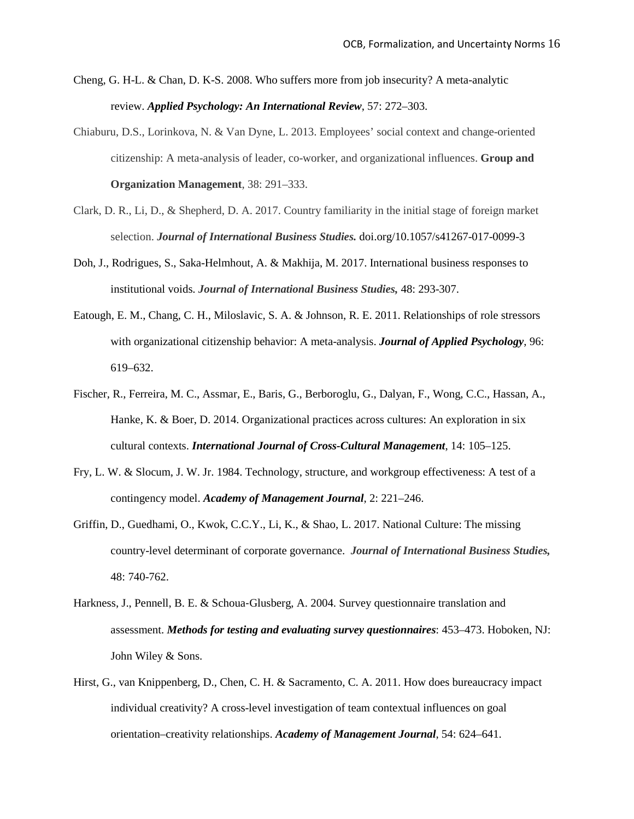- Cheng, G. H-L. & Chan, D. K-S. 2008. Who suffers more from job insecurity? A meta-analytic review. *Applied Psychology: An International Review*, 57: 272–303.
- Chiaburu, D.S., Lorinkova, N. & Van Dyne, L. 2013. Employees' social context and change-oriented citizenship: A meta-analysis of leader, co-worker, and organizational influences. **Group and Organization Management**, 38: 291–333.
- Clark, D. R., Li, D., & Shepherd, D. A. 2017. Country familiarity in the initial stage of foreign market selection. *Journal of International Business Studies.* doi.org/10.1057/s41267-017-0099-3
- Doh, J., Rodrigues, S., Saka-Helmhout, A. & Makhija, M. 2017. International business responses to institutional voids. *Journal of International Business Studies,* 48: 293-307.
- Eatough, E. M., Chang, C. H., Miloslavic, S. A. & Johnson, R. E. 2011. Relationships of role stressors with organizational citizenship behavior: A meta-analysis. *Journal of Applied Psychology*, 96: 619–632.
- Fischer, R., Ferreira, M. C., Assmar, E., Baris, G., Berboroglu, G., Dalyan, F., Wong, C.C., Hassan, A., Hanke, K. & Boer, D. 2014. Organizational practices across cultures: An exploration in six cultural contexts. *International Journal of Cross-Cultural Management*, 14: 105–125.
- Fry, L. W. & Slocum, J. W. Jr. 1984. Technology, structure, and workgroup effectiveness: A test of a contingency model. *Academy of Management Journal*, 2: 221–246.
- Griffin, D., Guedhami, O., Kwok, C.C.Y., Li, K., & Shao, L. 2017. National Culture: The missing country-level determinant of corporate governance. *Journal of International Business Studies,*  48: 740-762.
- Harkness, J., Pennell, B. E. & Schoua-Glusberg, A. 2004. Survey questionnaire translation and assessment. *Methods for testing and evaluating survey questionnaires*: 453–473. Hoboken, NJ: John Wiley & Sons.
- Hirst, G., van Knippenberg, D., Chen, C. H. & Sacramento, C. A. 2011. How does bureaucracy impact individual creativity? A cross-level investigation of team contextual influences on goal orientation–creativity relationships. *Academy of Management Journal*, 54: 624–641.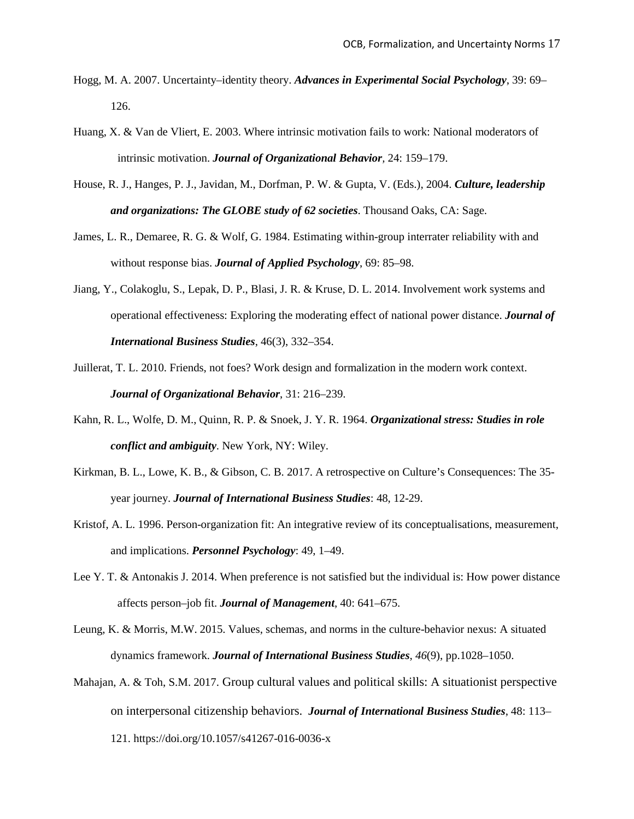- Hogg, M. A. 2007. Uncertainty–identity theory. *Advances in Experimental Social Psychology*, 39: 69– 126.
- Huang, X. & Van de Vliert, E. 2003. Where intrinsic motivation fails to work: National moderators of intrinsic motivation. *Journal of Organizational Behavior,* 24: 159–179.
- House, R. J., Hanges, P. J., Javidan, M., Dorfman, P. W. & Gupta, V. (Eds.), 2004. *Culture, leadership and organizations: The GLOBE study of 62 societies*. Thousand Oaks, CA: Sage.
- James, L. R., Demaree, R. G. & Wolf, G. 1984. Estimating within-group interrater reliability with and without response bias. *Journal of Applied Psychology*, 69: 85–98.
- Jiang, Y., Colakoglu, S., Lepak, D. P., Blasi, J. R. & Kruse, D. L. 2014. Involvement work systems and operational effectiveness: Exploring the moderating effect of national power distance. *Journal of International Business Studies*, 46(3), 332–354.
- Juillerat, T. L. 2010. Friends, not foes? Work design and formalization in the modern work context. *Journal of Organizational Behavior*, 31: 216–239.
- Kahn, R. L., Wolfe, D. M., Quinn, R. P. & Snoek, J. Y. R. 1964. *Organizational stress: Studies in role conflict and ambiguity*. New York, NY: Wiley.
- Kirkman, B. L., Lowe, K. B., & Gibson, C. B. 2017. A retrospective on Culture's Consequences: The 35 year journey. *Journal of International Business Studies*: 48, 12-29.
- Kristof, A. L. 1996. Person-organization fit: An integrative review of its conceptualisations, measurement, and implications. *Personnel Psychology*: 49, 1–49.
- Lee Y. T. & Antonakis J. 2014. When preference is not satisfied but the individual is: How power distance affects person–job fit. *Journal of Management*, 40: 641–675.
- Leung, K. & Morris, M.W. 2015. Values, schemas, and norms in the culture-behavior nexus: A situated dynamics framework. *Journal of International Business Studies*, *46*(9), pp.1028–1050.
- Mahajan, A. & Toh, S.M. 2017. Group cultural values and political skills: A situationist perspective on interpersonal citizenship behaviors. *Journal of International Business Studies*, 48: 113– 121. https://doi.org/10.1057/s41267-016-0036-x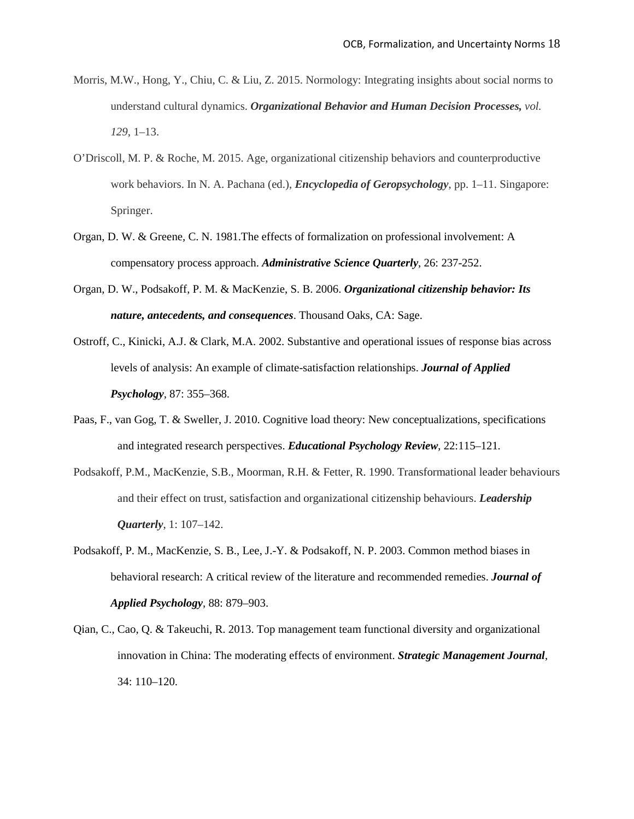- Morris, M.W., Hong, Y., Chiu, C. & Liu, Z. 2015. Normology: Integrating insights about social norms to understand cultural dynamics. *Organizational Behavior and Human Decision Processes, vol. 129*, 1–13.
- O'Driscoll, M. P. & Roche, M. 2015. Age, organizational citizenship behaviors and counterproductive work behaviors. In N. A. Pachana (ed.), *Encyclopedia of Geropsychology*, pp. 1–11. Singapore: Springer.
- Organ, D. W. & Greene, C. N. 1981.The effects of formalization on professional involvement: A compensatory process approach. *Administrative Science Quarterly*, 26: 237-252.
- Organ, D. W., Podsakoff, P. M. & MacKenzie, S. B. 2006. *Organizational citizenship behavior: Its nature, antecedents, and consequences*. Thousand Oaks, CA: Sage.
- Ostroff, C., Kinicki, A.J. & Clark, M.A. 2002. Substantive and operational issues of response bias across levels of analysis: An example of climate-satisfaction relationships. *Journal of Applied Psychology*, 87: 355–368.
- Paas, F., van Gog, T. & Sweller, J. 2010. Cognitive load theory: New conceptualizations, specifications and integrated research perspectives. *Educational Psychology Review*, 22:115–121*.*
- Podsakoff, P.M., MacKenzie, S.B., Moorman, R.H. & Fetter, R. 1990. Transformational leader behaviours and their effect on trust, satisfaction and organizational citizenship behaviours. *Leadership Quarterly*, 1: 107–142.
- Podsakoff, P. M., MacKenzie, S. B., Lee, J.-Y. & Podsakoff, N. P. 2003. Common method biases in behavioral research: A critical review of the literature and recommended remedies. *Journal of Applied Psychology*, 88: 879–903.
- Qian, C., Cao, Q. & Takeuchi, R. 2013. Top management team functional diversity and organizational innovation in China: The moderating effects of environment. *Strategic Management Journal*, 34: 110–120.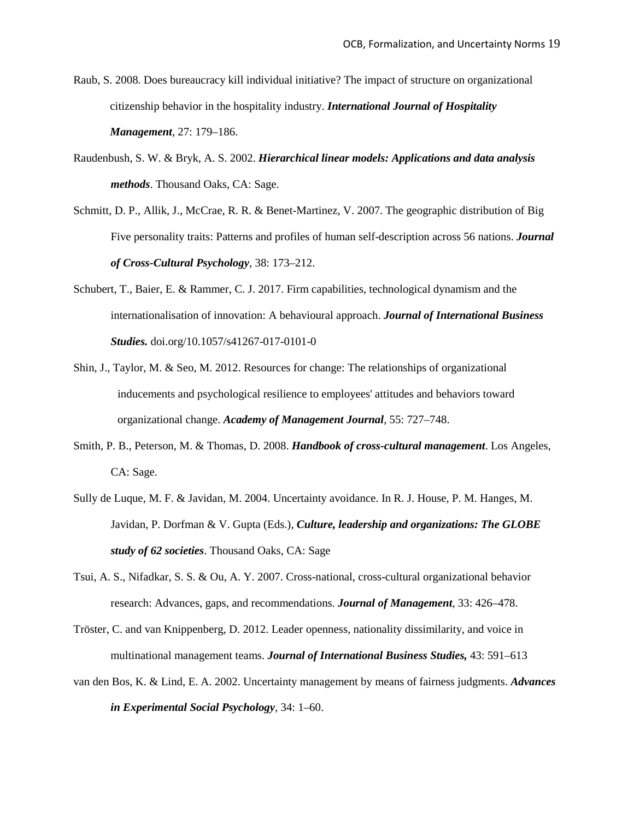- Raub, S. 2008. Does bureaucracy kill individual initiative? The impact of structure on organizational citizenship behavior in the hospitality industry. *International Journal of Hospitality Management*, 27: 179–186.
- Raudenbush, S. W. & Bryk, A. S. 2002. *Hierarchical linear models: Applications and data analysis methods*. Thousand Oaks, CA: Sage.
- Schmitt, D. P., Allik, J., McCrae, R. R. & Benet-Martinez, V. 2007. The geographic distribution of Big Five personality traits: Patterns and profiles of human self-description across 56 nations. *Journal of Cross-Cultural Psychology*, 38: 173–212.
- Schubert, T., Baier, E. & Rammer, C. J. 2017. Firm capabilities, technological dynamism and the internationalisation of innovation: A behavioural approach. *Journal of International Business Studies.* doi.org/10.1057/s41267-017-0101-0
- Shin, J., Taylor, M. & Seo, M. 2012. Resources for change: The relationships of organizational inducements and psychological resilience to employees' attitudes and behaviors toward organizational change. *Academy of Management Journal*, 55: 727–748.
- Smith, P. B., Peterson, M. & Thomas, D. 2008. *Handbook of cross-cultural management*. Los Angeles, CA: Sage.
- Sully de Luque, M. F. & Javidan, M. 2004. Uncertainty avoidance. In R. J. House, P. M. Hanges, M. Javidan, P. Dorfman & V. Gupta (Eds.), *Culture, leadership and organizations: The GLOBE study of 62 societies*. Thousand Oaks, CA: Sage
- Tsui, A. S., Nifadkar, S. S. & Ou, A. Y. 2007. Cross-national, cross-cultural organizational behavior research: Advances, gaps, and recommendations. *Journal of Management*, 33: 426–478.
- Tröster, C. and van Knippenberg, D. 2012. Leader openness, nationality dissimilarity, and voice in multinational management teams. *Journal of International Business Studies,* 43: 591–613
- van den Bos, K. & Lind, E. A. 2002. Uncertainty management by means of fairness judgments. *Advances in Experimental Social Psychology*, 34: 1–60.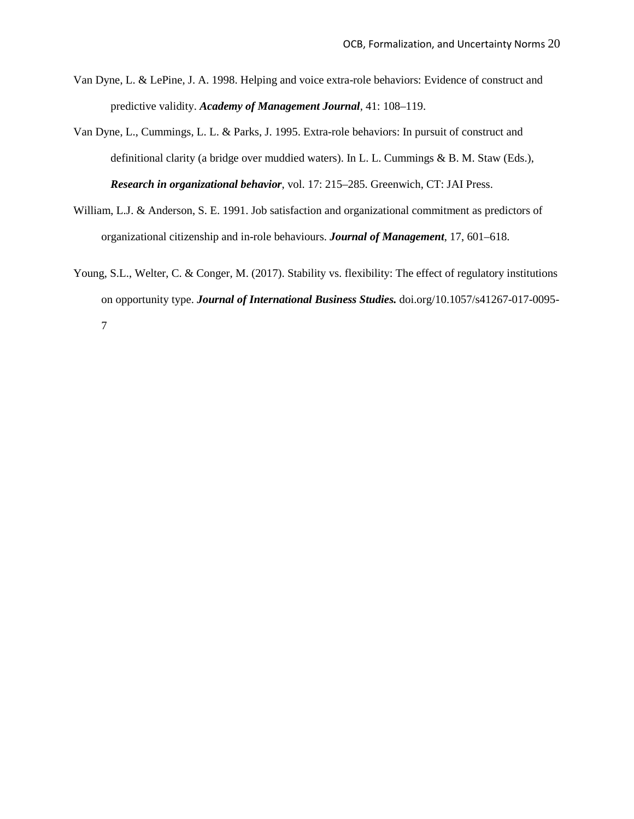- Van Dyne, L. & LePine, J. A. 1998. Helping and voice extra-role behaviors: Evidence of construct and predictive validity. *Academy of Management Journal*, 41: 108–119.
- Van Dyne, L., Cummings, L. L. & Parks, J. 1995. Extra-role behaviors: In pursuit of construct and definitional clarity (a bridge over muddied waters). In L. L. Cummings & B. M. Staw (Eds.), *Research in organizational behavior*, vol. 17: 215–285. Greenwich, CT: JAI Press.
- William, L.J. & Anderson, S. E. 1991. Job satisfaction and organizational commitment as predictors of organizational citizenship and in-role behaviours. *Journal of Management*, 17, 601–618.
- Young, S.L., Welter, C. & Conger, M. (2017). Stability vs. flexibility: The effect of regulatory institutions on opportunity type. *Journal of International Business Studies.* doi.org/10.1057/s41267-017-0095- 7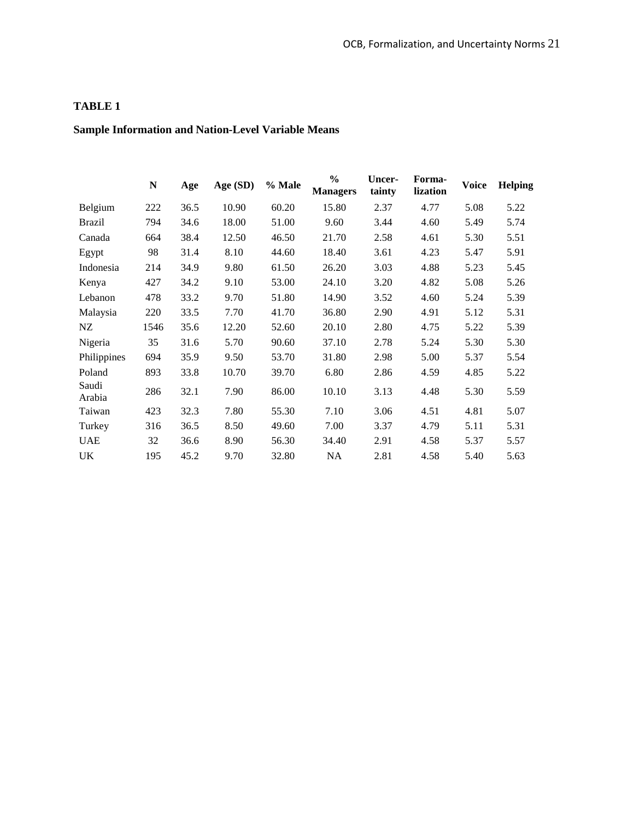# **TABLE 1**

# **Sample Information and Nation-Level Variable Means**

| N    | Age  | Age (SD) | % Male | $\frac{0}{0}$<br><b>Managers</b> | Uncer-<br>tainty | Forma-<br>lization | <b>Voice</b> | Helping |
|------|------|----------|--------|----------------------------------|------------------|--------------------|--------------|---------|
| 222  | 36.5 | 10.90    | 60.20  | 15.80                            | 2.37             | 4.77               | 5.08         | 5.22    |
| 794  | 34.6 | 18.00    | 51.00  | 9.60                             | 3.44             | 4.60               | 5.49         | 5.74    |
| 664  | 38.4 | 12.50    | 46.50  | 21.70                            | 2.58             | 4.61               | 5.30         | 5.51    |
| 98   | 31.4 | 8.10     | 44.60  | 18.40                            | 3.61             | 4.23               | 5.47         | 5.91    |
| 214  | 34.9 | 9.80     | 61.50  | 26.20                            | 3.03             | 4.88               | 5.23         | 5.45    |
| 427  | 34.2 | 9.10     | 53.00  | 24.10                            | 3.20             | 4.82               | 5.08         | 5.26    |
| 478  | 33.2 | 9.70     | 51.80  | 14.90                            | 3.52             | 4.60               | 5.24         | 5.39    |
| 220  | 33.5 | 7.70     | 41.70  | 36.80                            | 2.90             | 4.91               | 5.12         | 5.31    |
| 1546 | 35.6 | 12.20    | 52.60  | 20.10                            | 2.80             | 4.75               | 5.22         | 5.39    |
| 35   | 31.6 | 5.70     | 90.60  | 37.10                            | 2.78             | 5.24               | 5.30         | 5.30    |
| 694  | 35.9 | 9.50     | 53.70  | 31.80                            | 2.98             | 5.00               | 5.37         | 5.54    |
| 893  | 33.8 | 10.70    | 39.70  | 6.80                             | 2.86             | 4.59               | 4.85         | 5.22    |
| 286  | 32.1 | 7.90     | 86.00  | 10.10                            | 3.13             | 4.48               | 5.30         | 5.59    |
| 423  | 32.3 | 7.80     | 55.30  | 7.10                             | 3.06             | 4.51               | 4.81         | 5.07    |
| 316  | 36.5 | 8.50     | 49.60  | 7.00                             | 3.37             | 4.79               | 5.11         | 5.31    |
| 32   | 36.6 | 8.90     | 56.30  | 34.40                            | 2.91             | 4.58               | 5.37         | 5.57    |
| 195  | 45.2 | 9.70     | 32.80  | NA                               | 2.81             | 4.58               | 5.40         | 5.63    |
|      |      |          |        |                                  |                  |                    |              |         |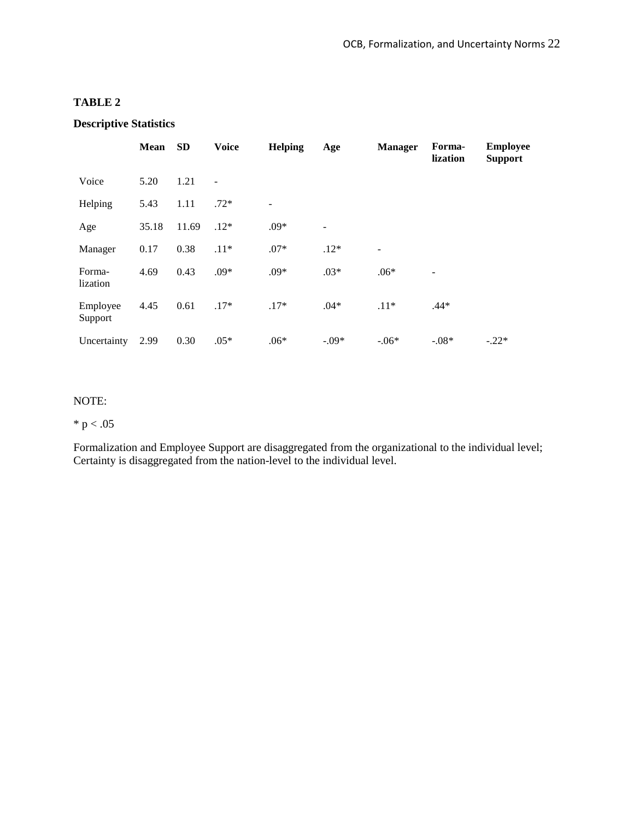# **TABLE 2**

### **Descriptive Statistics**

|                     | Mean  | <b>SD</b> | <b>Voice</b> | <b>Helping</b>               | Age                      | <b>Manager</b>           | Forma-<br>lization | <b>Employee</b><br><b>Support</b> |
|---------------------|-------|-----------|--------------|------------------------------|--------------------------|--------------------------|--------------------|-----------------------------------|
| Voice               | 5.20  | 1.21      |              |                              |                          |                          |                    |                                   |
| Helping             | 5.43  | 1.11      | $.72*$       | $\qquad \qquad \blacksquare$ |                          |                          |                    |                                   |
| Age                 | 35.18 | 11.69     | $.12*$       | $.09*$                       | $\overline{\phantom{a}}$ |                          |                    |                                   |
| Manager             | 0.17  | 0.38      | $.11*$       | $.07*$                       | $.12*$                   | $\overline{\phantom{0}}$ |                    |                                   |
| Forma-<br>lization  | 4.69  | 0.43      | $.09*$       | $.09*$                       | $.03*$                   | $.06*$                   |                    |                                   |
| Employee<br>Support | 4.45  | 0.61      | $.17*$       | $.17*$                       | $.04*$                   | $.11*$                   | $.44*$             |                                   |
| Uncertainty         | 2.99  | 0.30      | $.05*$       | $.06*$                       | $-.09*$                  | $-.06*$                  | $-.08*$            | $-.22*$                           |

# NOTE:

# $* p < .05$

Formalization and Employee Support are disaggregated from the organizational to the individual level; Certainty is disaggregated from the nation-level to the individual level.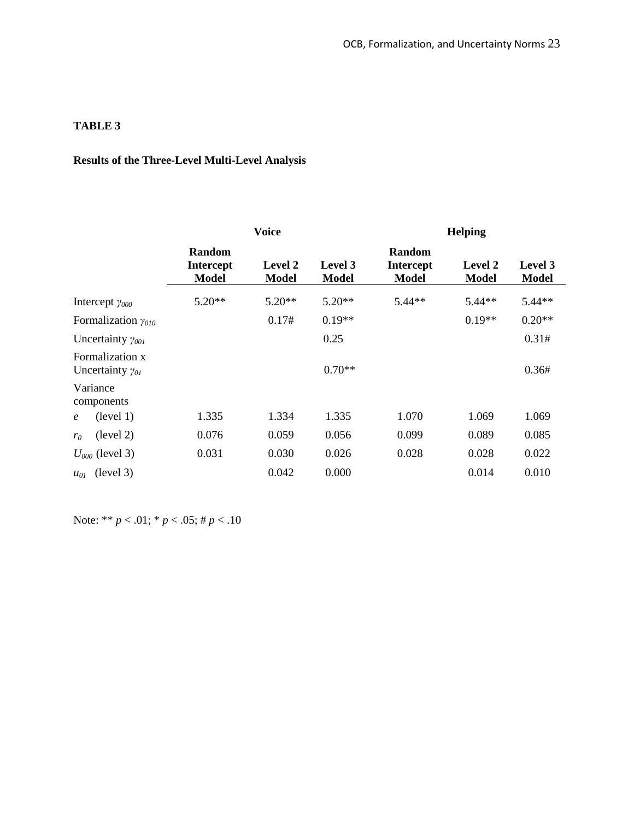# **TABLE 3**

# **Results of the Three-Level Multi-Level Analysis**

|                                              |                                                   | <b>Voice</b>                   |                         |                                                   | <b>Helping</b>          |                         |  |  |
|----------------------------------------------|---------------------------------------------------|--------------------------------|-------------------------|---------------------------------------------------|-------------------------|-------------------------|--|--|
|                                              | <b>Random</b><br><b>Intercept</b><br><b>Model</b> | <b>Level 2</b><br><b>Model</b> | Level 3<br><b>Model</b> | <b>Random</b><br><b>Intercept</b><br><b>Model</b> | <b>Level 2</b><br>Model | Level 3<br><b>Model</b> |  |  |
| Intercept $\gamma_{000}$                     | $5.20**$                                          | $5.20**$                       | $5.20**$                | $5.44**$                                          | $5.44**$                | $5.44**$                |  |  |
| Formalization $\gamma_{010}$                 |                                                   | 0.17#                          | $0.19**$                |                                                   | $0.19**$                | $0.20**$                |  |  |
| Uncertainty $\gamma_{001}$                   |                                                   |                                | 0.25                    |                                                   |                         | 0.31#                   |  |  |
| Formalization x<br>Uncertainty $\gamma_{01}$ |                                                   |                                | $0.70**$                |                                                   |                         | 0.36#                   |  |  |
| Variance<br>components                       |                                                   |                                |                         |                                                   |                         |                         |  |  |
| (level 1)<br>$\boldsymbol{e}$                | 1.335                                             | 1.334                          | 1.335                   | 1.070                                             | 1.069                   | 1.069                   |  |  |
| $(\text{level } 2)$<br>$r_0$                 | 0.076                                             | 0.059                          | 0.056                   | 0.099                                             | 0.089                   | 0.085                   |  |  |
| $U_{000}$ (level 3)                          | 0.031                                             | 0.030                          | 0.026                   | 0.028                                             | 0.028                   | 0.022                   |  |  |
| (level 3)<br>$u_{01}$                        |                                                   | 0.042                          | 0.000                   |                                                   | 0.014                   | 0.010                   |  |  |

Note: \*\* *p* < .01; \* *p* < .05; # *p* < .10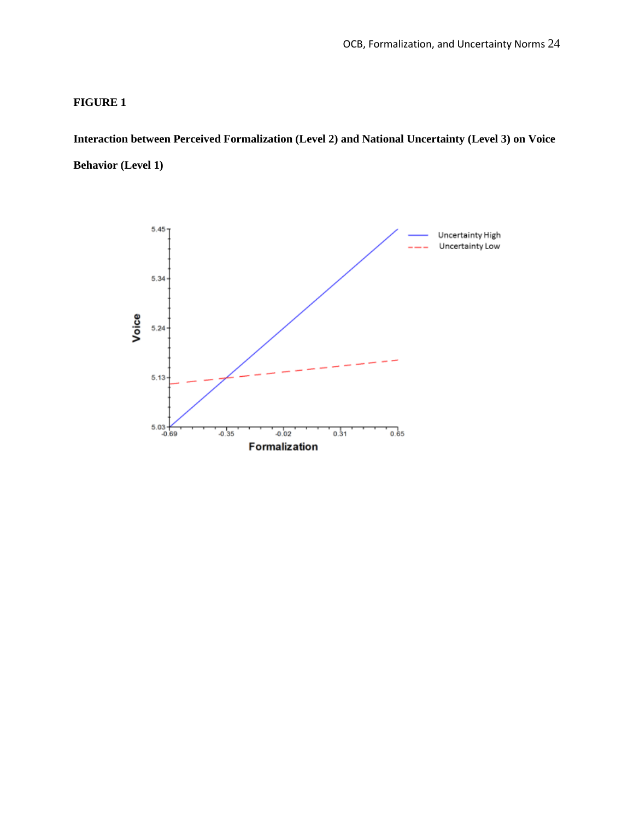# **FIGURE 1**

# **Interaction between Perceived Formalization (Level 2) and National Uncertainty (Level 3) on Voice Behavior (Level 1)**

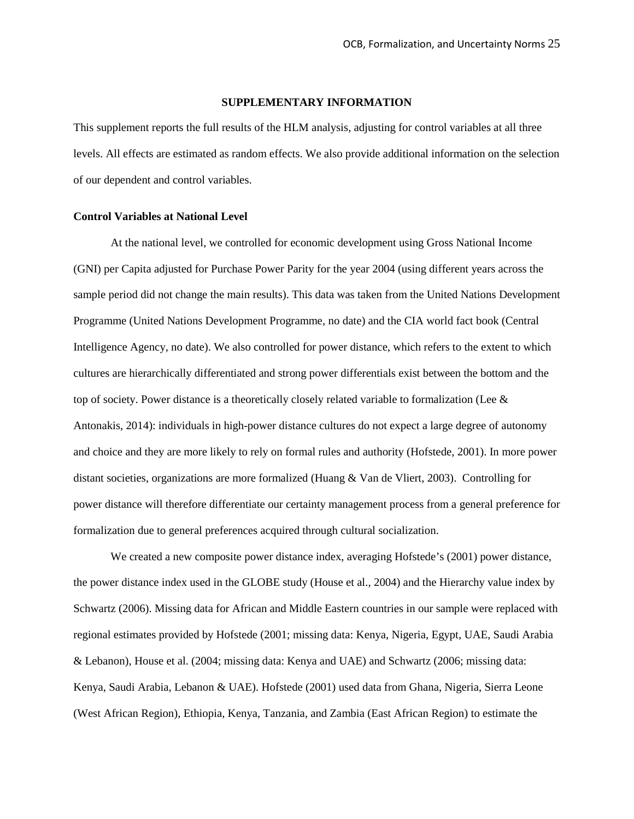# **SUPPLEMENTARY INFORMATION**

This supplement reports the full results of the HLM analysis, adjusting for control variables at all three levels. All effects are estimated as random effects. We also provide additional information on the selection of our dependent and control variables.

#### **Control Variables at National Level**

At the national level, we controlled for economic development using Gross National Income (GNI) per Capita adjusted for Purchase Power Parity for the year 2004 (using different years across the sample period did not change the main results). This data was taken from the United Nations Development Programme (United Nations Development Programme, no date) and the CIA world fact book (Central Intelligence Agency, no date). We also controlled for power distance, which refers to the extent to which cultures are hierarchically differentiated and strong power differentials exist between the bottom and the top of society. Power distance is a theoretically closely related variable to formalization (Lee  $\&$ Antonakis, 2014): individuals in high-power distance cultures do not expect a large degree of autonomy and choice and they are more likely to rely on formal rules and authority (Hofstede, 2001). In more power distant societies, organizations are more formalized (Huang & Van de Vliert, 2003). Controlling for power distance will therefore differentiate our certainty management process from a general preference for formalization due to general preferences acquired through cultural socialization.

We created a new composite power distance index, averaging Hofstede's (2001) power distance, the power distance index used in the GLOBE study (House et al., 2004) and the Hierarchy value index by Schwartz (2006). Missing data for African and Middle Eastern countries in our sample were replaced with regional estimates provided by Hofstede (2001; missing data: Kenya, Nigeria, Egypt, UAE, Saudi Arabia & Lebanon), House et al. (2004; missing data: Kenya and UAE) and Schwartz (2006; missing data: Kenya, Saudi Arabia, Lebanon & UAE). Hofstede (2001) used data from Ghana, Nigeria, Sierra Leone (West African Region), Ethiopia, Kenya, Tanzania, and Zambia (East African Region) to estimate the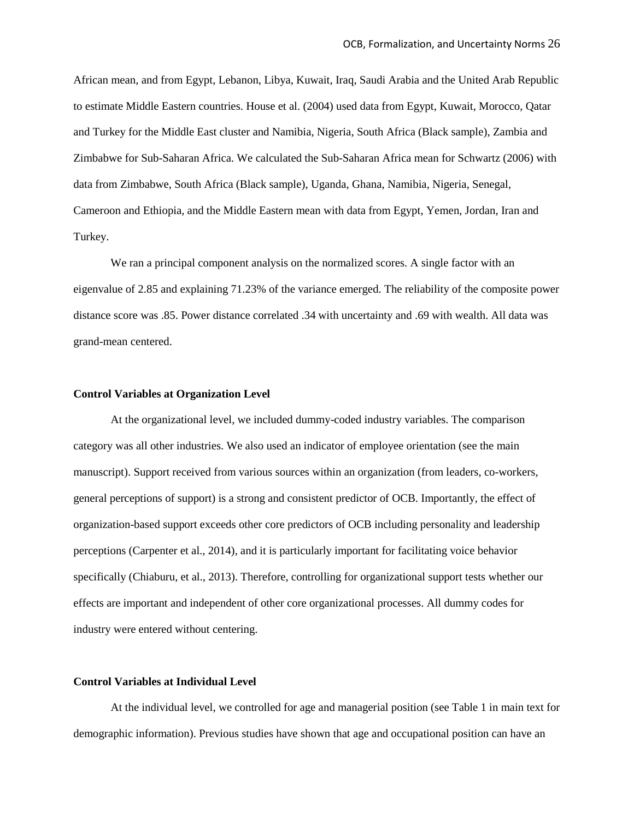African mean, and from Egypt, Lebanon, Libya, Kuwait, Iraq, Saudi Arabia and the United Arab Republic to estimate Middle Eastern countries. House et al. (2004) used data from Egypt, Kuwait, Morocco, Qatar and Turkey for the Middle East cluster and Namibia, Nigeria, South Africa (Black sample), Zambia and Zimbabwe for Sub-Saharan Africa. We calculated the Sub-Saharan Africa mean for Schwartz (2006) with data from Zimbabwe, South Africa (Black sample), Uganda, Ghana, Namibia, Nigeria, Senegal, Cameroon and Ethiopia, and the Middle Eastern mean with data from Egypt, Yemen, Jordan, Iran and Turkey.

We ran a principal component analysis on the normalized scores. A single factor with an eigenvalue of 2.85 and explaining 71.23% of the variance emerged. The reliability of the composite power distance score was .85. Power distance correlated .34 with uncertainty and .69 with wealth. All data was grand-mean centered.

#### **Control Variables at Organization Level**

At the organizational level, we included dummy-coded industry variables. The comparison category was all other industries. We also used an indicator of employee orientation (see the main manuscript). Support received from various sources within an organization (from leaders, co-workers, general perceptions of support) is a strong and consistent predictor of OCB. Importantly, the effect of organization-based support exceeds other core predictors of OCB including personality and leadership perceptions (Carpenter et al., 2014), and it is particularly important for facilitating voice behavior specifically (Chiaburu, et al., 2013). Therefore, controlling for organizational support tests whether our effects are important and independent of other core organizational processes. All dummy codes for industry were entered without centering.

#### **Control Variables at Individual Level**

At the individual level, we controlled for age and managerial position (see Table 1 in main text for demographic information). Previous studies have shown that age and occupational position can have an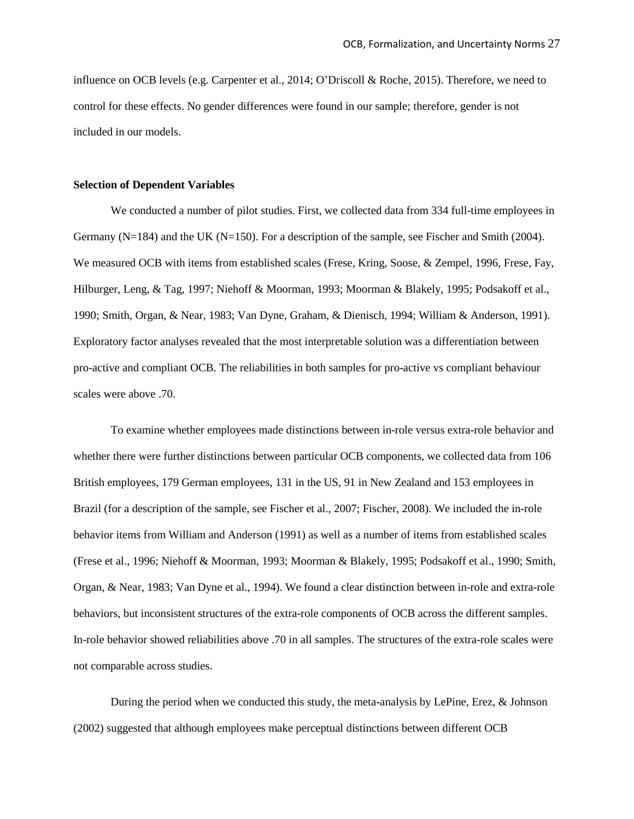influence on OCB levels (e.g. Carpenter et al., 2014; O'Driscoll & Roche, 2015). Therefore, we need to control for these effects. No gender differences were found in our sample; therefore, gender is not included in our models.

### **Selection of Dependent Variables**

We conducted a number of pilot studies. First, we collected data from 334 full-time employees in Germany  $(N=184)$  and the UK  $(N=150)$ . For a description of the sample, see Fischer and Smith (2004). We measured OCB with items from established scales (Frese, Kring, Soose, & Zempel, 1996, Frese, Fay, Hilburger, Leng, & Tag, 1997; Niehoff & Moorman, 1993; Moorman & Blakely, 1995; Podsakoff et al., 1990; Smith, Organ, & Near, 1983; Van Dyne, Graham, & Dienisch, 1994; William & Anderson, 1991). Exploratory factor analyses revealed that the most interpretable solution was a differentiation between pro-active and compliant OCB. The reliabilities in both samples for pro-active vs compliant behaviour scales were above .70.

To examine whether employees made distinctions between in-role versus extra-role behavior and whether there were further distinctions between particular OCB components, we collected data from 106 British employees, 179 German employees, 131 in the US, 91 in New Zealand and 153 employees in Brazil (for a description of the sample, see Fischer et al., 2007; Fischer, 2008). We included the in-role behavior items from William and Anderson (1991) as well as a number of items from established scales (Frese et al., 1996; Niehoff & Moorman, 1993; Moorman & Blakely, 1995; Podsakoff et al., 1990; Smith, Organ, & Near, 1983; Van Dyne et al., 1994). We found a clear distinction between in-role and extra-role behaviors, but inconsistent structures of the extra-role components of OCB across the different samples. In-role behavior showed reliabilities above .70 in all samples. The structures of the extra-role scales were not comparable across studies.

During the period when we conducted this study, the meta-analysis by LePine, Erez, & Johnson (2002) suggested that although employees make perceptual distinctions between different OCB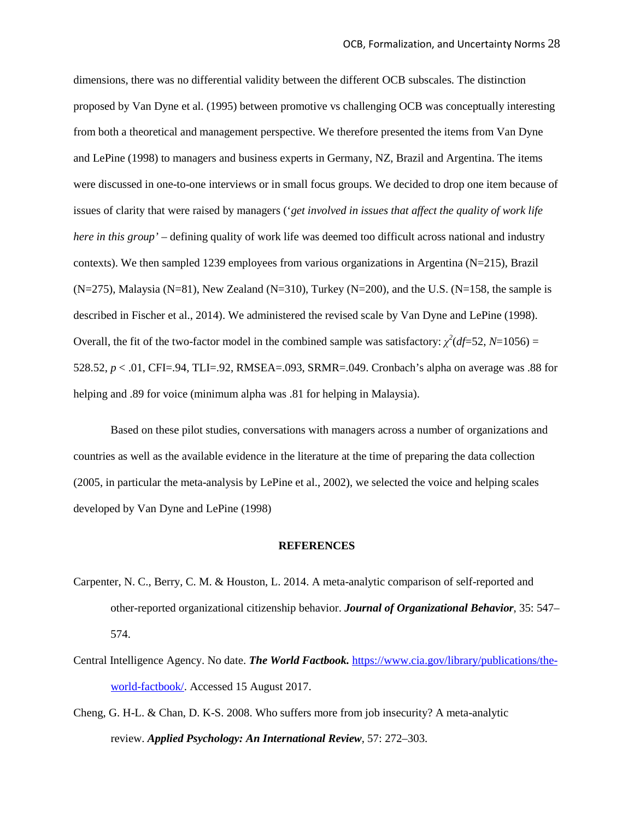dimensions, there was no differential validity between the different OCB subscales. The distinction proposed by Van Dyne et al. (1995) between promotive vs challenging OCB was conceptually interesting from both a theoretical and management perspective. We therefore presented the items from Van Dyne and LePine (1998) to managers and business experts in Germany, NZ, Brazil and Argentina. The items were discussed in one-to-one interviews or in small focus groups. We decided to drop one item because of issues of clarity that were raised by managers ('*get involved in issues that affect the quality of work life here in this group'* – defining quality of work life was deemed too difficult across national and industry contexts). We then sampled 1239 employees from various organizations in Argentina (N=215), Brazil  $(N=275)$ , Malaysia (N=81), New Zealand (N=310), Turkey (N=200), and the U.S. (N=158, the sample is described in Fischer et al., 2014). We administered the revised scale by Van Dyne and LePine (1998). Overall, the fit of the two-factor model in the combined sample was satisfactory:  $\chi^2(df=52, N=1056)$  = 528.52, *p* < .01, CFI=.94, TLI=.92, RMSEA=.093, SRMR=.049. Cronbach's alpha on average was .88 for helping and .89 for voice (minimum alpha was .81 for helping in Malaysia).

Based on these pilot studies, conversations with managers across a number of organizations and countries as well as the available evidence in the literature at the time of preparing the data collection (2005, in particular the meta-analysis by LePine et al., 2002), we selected the voice and helping scales developed by Van Dyne and LePine (1998)

#### **REFERENCES**

- Carpenter, N. C., Berry, C. M. & Houston, L. 2014. A meta-analytic comparison of self-reported and other-reported organizational citizenship behavior. *Journal of Organizational Behavior*, 35: 547– 574.
- Central Intelligence Agency. No date. *The World Factbook.* [https://www.cia.gov/library/publications/the](https://www.cia.gov/library/publications/the-world-factbook/)[world-factbook/.](https://www.cia.gov/library/publications/the-world-factbook/) Accessed 15 August 2017.
- Cheng, G. H-L. & Chan, D. K-S. 2008. Who suffers more from job insecurity? A meta-analytic review. *Applied Psychology: An International Review*, 57: 272–303.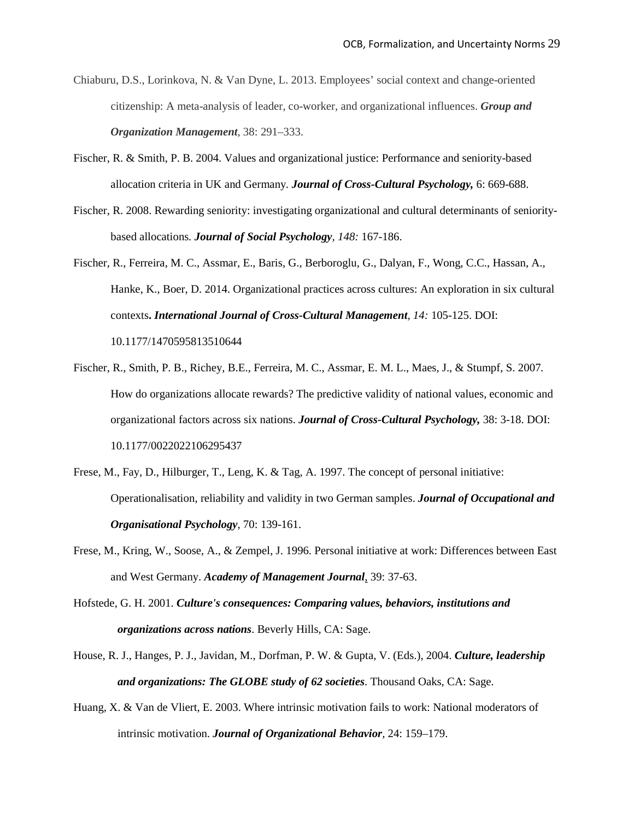- Chiaburu, D.S., Lorinkova, N. & Van Dyne, L. 2013. Employees' social context and change-oriented citizenship: A meta-analysis of leader, co-worker, and organizational influences. *Group and Organization Management*, 38: 291–333.
- Fischer, R. & Smith, P. B. 2004. Values and organizational justice: Performance and seniority-based allocation criteria in UK and Germany*. Journal of Cross-Cultural Psychology,* 6: 669-688.
- Fischer, R. 2008. Rewarding seniority: investigating organizational and cultural determinants of senioritybased allocations*. Journal of Social Psychology, 148:* 167-186.
- Fischer, R., Ferreira, M. C., Assmar, E., Baris, G., Berboroglu, G., Dalyan, F., Wong, C.C., Hassan, A., Hanke, K., Boer, D. 2014. Organizational practices across cultures: An exploration in six cultural contexts**.** *International Journal of Cross-Cultural Management, 14:* 105-125. DOI: 10.1177/1470595813510644
- Fischer, R., Smith, P. B., Richey, B.E., Ferreira, M. C., Assmar, E. M. L., Maes, J., & Stumpf, S. 2007*.*  How do organizations allocate rewards? The predictive validity of national values, economic and organizational factors across six nations. *Journal of Cross-Cultural Psychology,* 38: 3-18. DOI: 10.1177/0022022106295437
- Frese, M., Fay, D., Hilburger, T., Leng, K. & Tag, A. 1997. The concept of personal initiative: Operationalisation, reliability and validity in two German samples. *Journal of Occupational and Organisational Psychology,* 70: 139-161.
- Frese, M., Kring, W., Soose, A., & Zempel, J. 1996. Personal initiative at work: Differences between East and West Germany. *Academy of Management Journal*, 39: 37-63.
- Hofstede, G. H. 2001. *Culture's consequences: Comparing values, behaviors, institutions and organizations across nations*. Beverly Hills, CA: Sage.
- House, R. J., Hanges, P. J., Javidan, M., Dorfman, P. W. & Gupta, V. (Eds.), 2004. *Culture, leadership and organizations: The GLOBE study of 62 societies*. Thousand Oaks, CA: Sage.
- Huang, X. & Van de Vliert, E. 2003. Where intrinsic motivation fails to work: National moderators of intrinsic motivation. *Journal of Organizational Behavior,* 24: 159–179.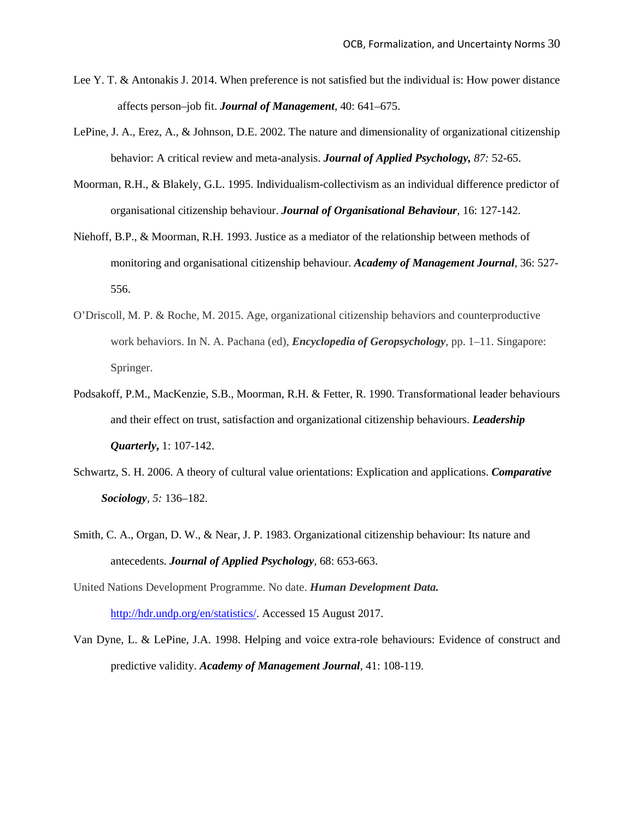- Lee Y. T. & Antonakis J. 2014. When preference is not satisfied but the individual is: How power distance affects person–job fit. *Journal of Management*, 40: 641–675.
- LePine, J. A., Erez, A., & Johnson, D.E. 2002. The nature and dimensionality of organizational citizenship behavior: A critical review and meta-analysis. *Journal of Applied Psychology, 87:* 52-65.
- Moorman, R.H., & Blakely, G.L. 1995. Individualism-collectivism as an individual difference predictor of organisational citizenship behaviour. *Journal of Organisational Behaviour*, 16: 127-142.
- Niehoff, B.P., & Moorman, R.H. 1993. Justice as a mediator of the relationship between methods of monitoring and organisational citizenship behaviour. *Academy of Management Journal*, 36: 527- 556.
- O'Driscoll, M. P. & Roche, M. 2015. Age, organizational citizenship behaviors and counterproductive work behaviors. In N. A. Pachana (ed), *Encyclopedia of Geropsychology*, pp. 1–11. Singapore: Springer.
- Podsakoff, P.M., MacKenzie, S.B., Moorman, R.H. & Fetter, R. 1990. Transformational leader behaviours and their effect on trust, satisfaction and organizational citizenship behaviours. *Leadership Quarterly***,** 1: 107-142.
- Schwartz, S. H. 2006. A theory of cultural value orientations: Explication and applications. *Comparative Sociology*, *5:* 136–182.
- Smith, C. A., Organ, D. W., & Near, J. P. 1983. Organizational citizenship behaviour: Its nature and antecedents. *Journal of Applied Psychology,* 68: 653-663.

United Nations Development Programme. No date. *Human Development Data.* [http://hdr.undp.org/en/statistics/.](http://hdr.undp.org/en/statistics/) Accessed 15 August 2017.

Van Dyne, L. & LePine, J.A. 1998. Helping and voice extra-role behaviours: Evidence of construct and predictive validity. *Academy of Management Journal*, 41: 108-119.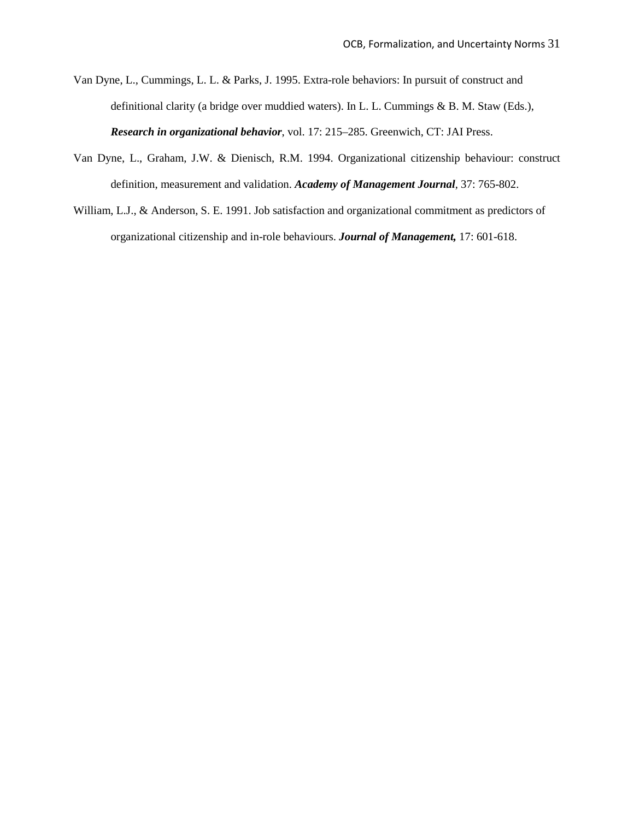Van Dyne, L., Cummings, L. L. & Parks, J. 1995. Extra-role behaviors: In pursuit of construct and definitional clarity (a bridge over muddied waters). In L. L. Cummings & B. M. Staw (Eds.), *Research in organizational behavior*, vol. 17: 215–285. Greenwich, CT: JAI Press.

- Van Dyne, L., Graham, J.W. & Dienisch, R.M. 1994. Organizational citizenship behaviour: construct definition, measurement and validation. *Academy of Management Journal*, 37: 765-802.
- William, L.J., & Anderson, S. E. 1991. Job satisfaction and organizational commitment as predictors of organizational citizenship and in-role behaviours. *Journal of Management,* 17: 601-618.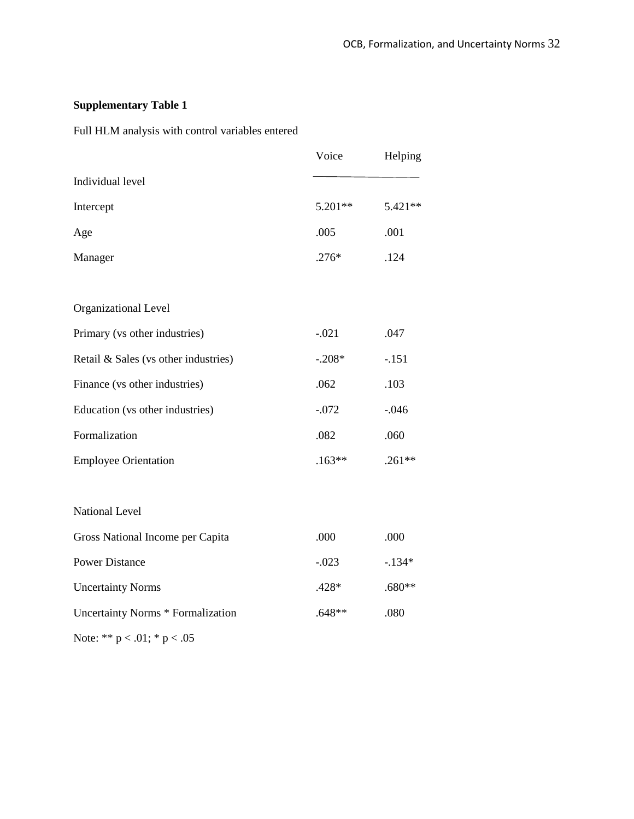# **Supplementary Table 1**

Full HLM analysis with control variables entered

|                                          | Voice    | Helping  |
|------------------------------------------|----------|----------|
| Individual level                         |          |          |
| Intercept                                | 5.201**  | 5.421**  |
| Age                                      | .005     | .001     |
| Manager                                  | $.276*$  | .124     |
| Organizational Level                     |          |          |
| Primary (vs other industries)            | $-.021$  | .047     |
| Retail & Sales (vs other industries)     | $-.208*$ | $-.151$  |
| Finance (vs other industries)            | .062     | .103     |
| Education (vs other industries)          | $-.072$  | $-.046$  |
| Formalization                            | .082     | .060     |
| <b>Employee Orientation</b>              | $.163**$ | $.261**$ |
| <b>National Level</b>                    |          |          |
| Gross National Income per Capita         | .000     | .000     |
| <b>Power Distance</b>                    | $-.023$  | $-134*$  |
| <b>Uncertainty Norms</b>                 | $.428*$  | $.680**$ |
| <b>Uncertainty Norms * Formalization</b> | $.648**$ | .080     |
| Note: ** $p < .01$ ; * $p < .05$         |          |          |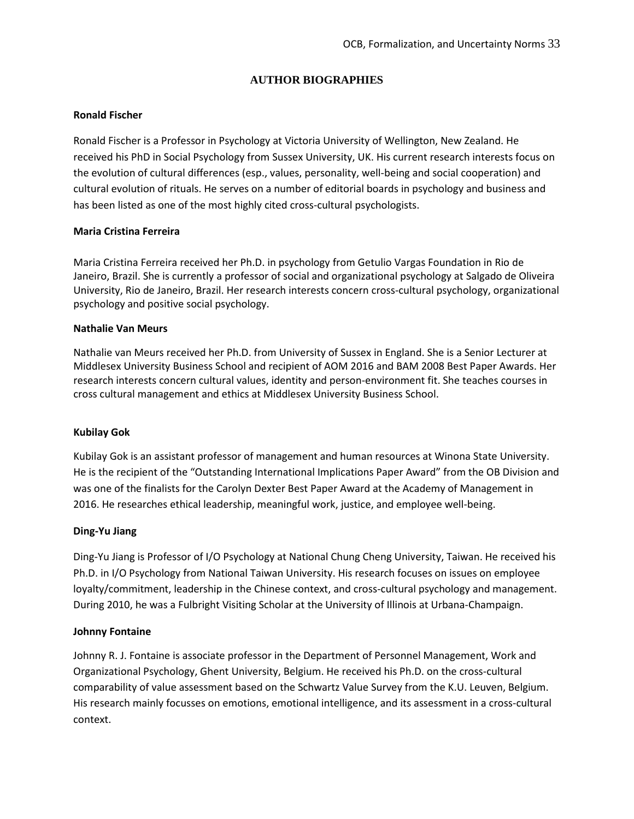# **AUTHOR BIOGRAPHIES**

# **Ronald Fischer**

Ronald Fischer is a Professor in Psychology at Victoria University of Wellington, New Zealand. He received his PhD in Social Psychology from Sussex University, UK. His current research interests focus on the evolution of cultural differences (esp., values, personality, well-being and social cooperation) and cultural evolution of rituals. He serves on a number of editorial boards in psychology and business and has been listed as one of the most highly cited cross-cultural psychologists.

# **Maria Cristina Ferreira**

Maria Cristina Ferreira received her Ph.D. in psychology from Getulio Vargas Foundation in Rio de Janeiro, Brazil. She is currently a professor of social and organizational psychology at Salgado de Oliveira University, Rio de Janeiro, Brazil. Her research interests concern cross-cultural psychology, organizational psychology and positive social psychology.

# **Nathalie Van Meurs**

Nathalie van Meurs received her Ph.D. from University of Sussex in England. She is a Senior Lecturer at Middlesex University Business School and recipient of AOM 2016 and BAM 2008 Best Paper Awards. Her research interests concern cultural values, identity and person-environment fit. She teaches courses in cross cultural management and ethics at Middlesex University Business School.

# **Kubilay Gok**

Kubilay Gok is an assistant professor of management and human resources at Winona State University. He is the recipient of the "Outstanding International Implications Paper Award" from the OB Division and was one of the finalists for the Carolyn Dexter Best Paper Award at the Academy of Management in 2016. He researches ethical leadership, meaningful work, justice, and employee well-being.

# **Ding-Yu Jiang**

Ding-Yu Jiang is Professor of I/O Psychology at National Chung Cheng University, Taiwan. He received his Ph.D. in I/O Psychology from National Taiwan University. His research focuses on issues on employee loyalty/commitment, leadership in the Chinese context, and cross-cultural psychology and management. During 2010, he was a Fulbright Visiting Scholar at the University of Illinois at Urbana-Champaign.

# **Johnny Fontaine**

Johnny R. J. Fontaine is associate professor in the Department of Personnel Management, Work and Organizational Psychology, Ghent University, Belgium. He received his Ph.D. on the cross-cultural comparability of value assessment based on the Schwartz Value Survey from the K.U. Leuven, Belgium. His research mainly focusses on emotions, emotional intelligence, and its assessment in a cross-cultural context.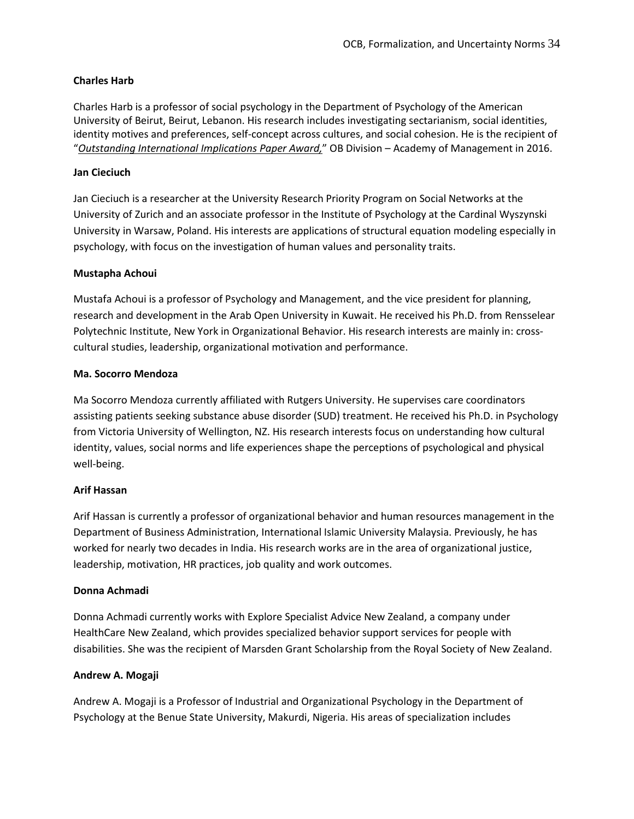# **Charles Harb**

Charles Harb is a professor of social psychology in the Department of Psychology of the American University of Beirut, Beirut, Lebanon. His research includes investigating sectarianism, social identities, identity motives and preferences, self-concept across cultures, and social cohesion. He is the recipient of "*Outstanding International Implications Paper Award,*" OB Division – Academy of Management in 2016.

# **Jan Cieciuch**

Jan Cieciuch is a researcher at the University Research Priority Program on Social Networks at the University of Zurich and an associate professor in the Institute of Psychology at the Cardinal Wyszynski University in Warsaw, Poland. His interests are applications of structural equation modeling especially in psychology, with focus on the investigation of human values and personality traits.

# **Mustapha Achoui**

Mustafa Achoui is a professor of Psychology and Management, and the vice president for planning, research and development in the Arab Open University in Kuwait. He received his Ph.D. from Rensselear Polytechnic Institute, New York in Organizational Behavior. His research interests are mainly in: crosscultural studies, leadership, organizational motivation and performance.

# **Ma. Socorro Mendoza**

Ma Socorro Mendoza currently affiliated with Rutgers University. He supervises care coordinators assisting patients seeking substance abuse disorder (SUD) treatment. He received his Ph.D. in Psychology from Victoria University of Wellington, NZ. His research interests focus on understanding how cultural identity, values, social norms and life experiences shape the perceptions of psychological and physical well-being.

# **Arif Hassan**

Arif Hassan is currently a professor of organizational behavior and human resources management in the Department of Business Administration, International Islamic University Malaysia. Previously, he has worked for nearly two decades in India. His research works are in the area of organizational justice, leadership, motivation, HR practices, job quality and work outcomes.

# **Donna Achmadi**

Donna Achmadi currently works with Explore Specialist Advice New Zealand, a company under HealthCare New Zealand, which provides specialized behavior support services for people with disabilities. She was the recipient of Marsden Grant Scholarship from the Royal Society of New Zealand.

# **Andrew A. Mogaji**

Andrew A. Mogaji is a Professor of Industrial and Organizational Psychology in the Department of Psychology at the Benue State University, Makurdi, Nigeria. His areas of specialization includes